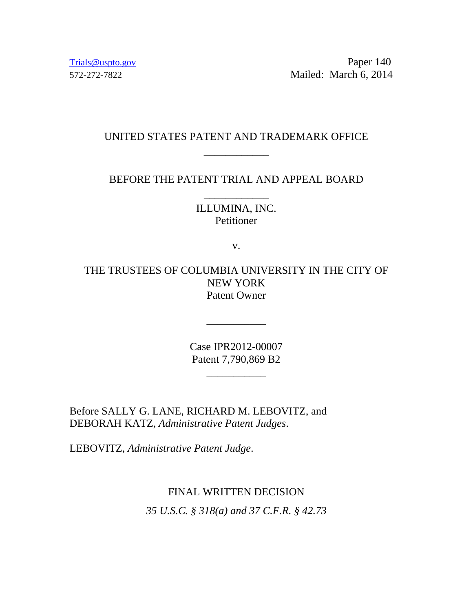Trials@uspto.gov Paper 140 572-272-7822 Mailed: March 6, 2014

# UNITED STATES PATENT AND TRADEMARK OFFICE \_\_\_\_\_\_\_\_\_\_\_\_

# BEFORE THE PATENT TRIAL AND APPEAL BOARD \_\_\_\_\_\_\_\_\_\_\_\_

ILLUMINA, INC. Petitioner

v.

THE TRUSTEES OF COLUMBIA UNIVERSITY IN THE CITY OF NEW YORK Patent Owner

> Case IPR2012-00007 Patent 7,790,869 B2

> > \_\_\_\_\_\_\_\_\_\_\_

\_\_\_\_\_\_\_\_\_\_\_

Before SALLY G. LANE, RICHARD M. LEBOVITZ, and DEBORAH KATZ, *Administrative Patent Judges*.

LEBOVITZ, *Administrative Patent Judge*.

# FINAL WRITTEN DECISION

*35 U.S.C. § 318(a) and 37 C.F.R. § 42.73*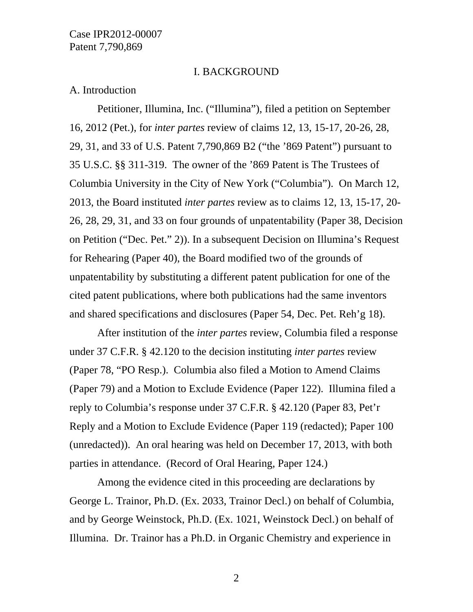#### I. BACKGROUND

### A. Introduction

Petitioner, Illumina, Inc. ("Illumina"), filed a petition on September 16, 2012 (Pet.), for *inter partes* review of claims 12, 13, 15-17, 20-26, 28, 29, 31, and 33 of U.S. Patent 7,790,869 B2 ("the '869 Patent") pursuant to 35 U.S.C. §§ 311-319. The owner of the '869 Patent is The Trustees of Columbia University in the City of New York ("Columbia"). On March 12, 2013, the Board instituted *inter partes* review as to claims 12, 13, 15-17, 20- 26, 28, 29, 31, and 33 on four grounds of unpatentability (Paper 38, Decision on Petition ("Dec. Pet." 2)). In a subsequent Decision on Illumina's Request for Rehearing (Paper 40), the Board modified two of the grounds of unpatentability by substituting a different patent publication for one of the cited patent publications, where both publications had the same inventors and shared specifications and disclosures (Paper 54, Dec. Pet. Reh'g 18).

 After institution of the *inter partes* review, Columbia filed a response under 37 C.F.R. § 42.120 to the decision instituting *inter partes* review (Paper 78, "PO Resp.). Columbia also filed a Motion to Amend Claims (Paper 79) and a Motion to Exclude Evidence (Paper 122). Illumina filed a reply to Columbia's response under 37 C.F.R. § 42.120 (Paper 83, Pet'r Reply and a Motion to Exclude Evidence (Paper 119 (redacted); Paper 100 (unredacted)). An oral hearing was held on December 17, 2013, with both parties in attendance. (Record of Oral Hearing, Paper 124.)

 Among the evidence cited in this proceeding are declarations by George L. Trainor, Ph.D. (Ex. 2033, Trainor Decl.) on behalf of Columbia, and by George Weinstock, Ph.D. (Ex. 1021, Weinstock Decl.) on behalf of Illumina. Dr. Trainor has a Ph.D. in Organic Chemistry and experience in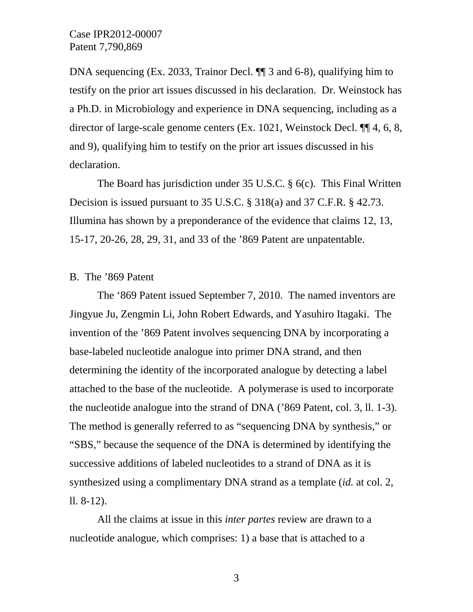DNA sequencing (Ex. 2033, Trainor Decl. ¶¶ 3 and 6-8), qualifying him to testify on the prior art issues discussed in his declaration. Dr. Weinstock has a Ph.D. in Microbiology and experience in DNA sequencing, including as a director of large-scale genome centers (Ex. 1021, Weinstock Decl. ¶¶ 4, 6, 8, and 9), qualifying him to testify on the prior art issues discussed in his declaration.

The Board has jurisdiction under 35 U.S.C. § 6(c). This Final Written Decision is issued pursuant to 35 U.S.C. § 318(a) and 37 C.F.R. § 42.73. Illumina has shown by a preponderance of the evidence that claims 12, 13, 15-17, 20-26, 28, 29, 31, and 33 of the '869 Patent are unpatentable.

### B. The '869 Patent

The '869 Patent issued September 7, 2010. The named inventors are Jingyue Ju, Zengmin Li, John Robert Edwards, and Yasuhiro Itagaki. The invention of the '869 Patent involves sequencing DNA by incorporating a base-labeled nucleotide analogue into primer DNA strand, and then determining the identity of the incorporated analogue by detecting a label attached to the base of the nucleotide. A polymerase is used to incorporate the nucleotide analogue into the strand of DNA ('869 Patent, col. 3, ll. 1-3). The method is generally referred to as "sequencing DNA by synthesis," or "SBS," because the sequence of the DNA is determined by identifying the successive additions of labeled nucleotides to a strand of DNA as it is synthesized using a complimentary DNA strand as a template (*id.* at col. 2, ll. 8-12).

All the claims at issue in this *inter partes* review are drawn to a nucleotide analogue, which comprises: 1) a base that is attached to a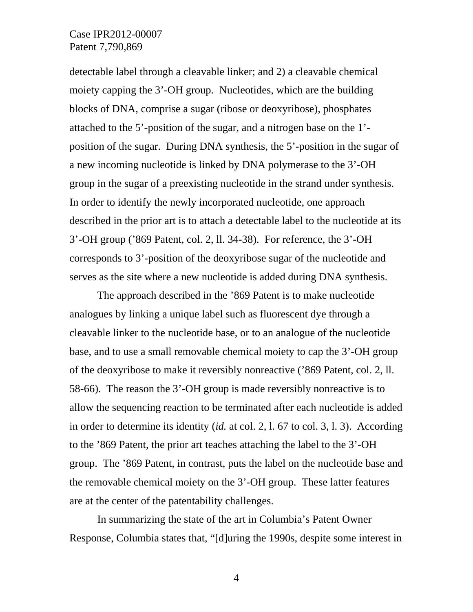detectable label through a cleavable linker; and 2) a cleavable chemical moiety capping the 3'-OH group. Nucleotides, which are the building blocks of DNA, comprise a sugar (ribose or deoxyribose), phosphates attached to the 5'-position of the sugar, and a nitrogen base on the 1' position of the sugar. During DNA synthesis, the 5'-position in the sugar of a new incoming nucleotide is linked by DNA polymerase to the 3'-OH group in the sugar of a preexisting nucleotide in the strand under synthesis. In order to identify the newly incorporated nucleotide, one approach described in the prior art is to attach a detectable label to the nucleotide at its 3'-OH group ('869 Patent, col. 2, ll. 34-38). For reference, the 3'-OH corresponds to 3'-position of the deoxyribose sugar of the nucleotide and serves as the site where a new nucleotide is added during DNA synthesis.

The approach described in the '869 Patent is to make nucleotide analogues by linking a unique label such as fluorescent dye through a cleavable linker to the nucleotide base, or to an analogue of the nucleotide base, and to use a small removable chemical moiety to cap the 3'-OH group of the deoxyribose to make it reversibly nonreactive ('869 Patent, col. 2, ll. 58-66). The reason the 3'-OH group is made reversibly nonreactive is to allow the sequencing reaction to be terminated after each nucleotide is added in order to determine its identity (*id.* at col. 2, l. 67 to col. 3, l. 3). According to the '869 Patent, the prior art teaches attaching the label to the 3'-OH group. The '869 Patent, in contrast, puts the label on the nucleotide base and the removable chemical moiety on the 3'-OH group. These latter features are at the center of the patentability challenges.

In summarizing the state of the art in Columbia's Patent Owner Response, Columbia states that, "[d]uring the 1990s, despite some interest in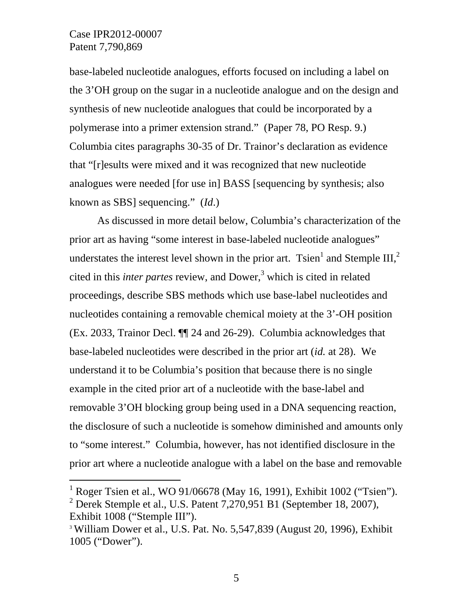$\overline{a}$ 

base-labeled nucleotide analogues, efforts focused on including a label on the 3'OH group on the sugar in a nucleotide analogue and on the design and synthesis of new nucleotide analogues that could be incorporated by a polymerase into a primer extension strand." (Paper 78, PO Resp. 9.) Columbia cites paragraphs 30-35 of Dr. Trainor's declaration as evidence that "[r]esults were mixed and it was recognized that new nucleotide analogues were needed [for use in] BASS [sequencing by synthesis; also known as SBS] sequencing." (*Id*.)

As discussed in more detail below, Columbia's characterization of the prior art as having "some interest in base-labeled nucleotide analogues" understates the interest level shown in the prior art. Tsien<sup>1</sup> and Stemple III,<sup>2</sup> cited in this *inter partes* review, and Dower,<sup>3</sup> which is cited in related proceedings, describe SBS methods which use base-label nucleotides and nucleotides containing a removable chemical moiety at the 3'-OH position (Ex. 2033, Trainor Decl. ¶¶ 24 and 26-29). Columbia acknowledges that base-labeled nucleotides were described in the prior art (*id.* at 28). We understand it to be Columbia's position that because there is no single example in the cited prior art of a nucleotide with the base-label and removable 3'OH blocking group being used in a DNA sequencing reaction, the disclosure of such a nucleotide is somehow diminished and amounts only to "some interest." Columbia, however, has not identified disclosure in the prior art where a nucleotide analogue with a label on the base and removable

<sup>&</sup>lt;sup>1</sup> Roger Tsien et al., WO 91/06678 (May 16, 1991), Exhibit 1002 ("Tsien").

<sup>&</sup>lt;sup>2</sup> Derek Stemple et al., U.S. Patent 7,270,951 B1 (September 18, 2007), Exhibit 1008 ("Stemple III").

<sup>&</sup>lt;sup>3</sup> William Dower et al., U.S. Pat. No. 5,547,839 (August 20, 1996), Exhibit 1005 ("Dower").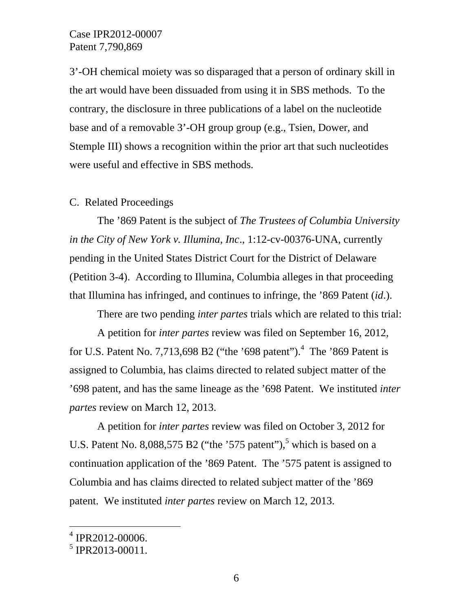3'-OH chemical moiety was so disparaged that a person of ordinary skill in the art would have been dissuaded from using it in SBS methods. To the contrary, the disclosure in three publications of a label on the nucleotide base and of a removable 3'-OH group group (e.g., Tsien, Dower, and Stemple III) shows a recognition within the prior art that such nucleotides were useful and effective in SBS methods.

### C. Related Proceedings

The '869 Patent is the subject of *The Trustees of Columbia University in the City of New York v. Illumina, Inc*., 1:12-cv-00376-UNA, currently pending in the United States District Court for the District of Delaware (Petition 3-4). According to Illumina, Columbia alleges in that proceeding that Illumina has infringed, and continues to infringe, the '869 Patent (*id*.).

There are two pending *inter partes* trials which are related to this trial:

A petition for *inter partes* review was filed on September 16, 2012, for U.S. Patent No. 7,713,698 B2 ("the '698 patent").<sup>4</sup> The '869 Patent is assigned to Columbia, has claims directed to related subject matter of the '698 patent, and has the same lineage as the '698 Patent. We instituted *inter partes* review on March 12, 2013.

A petition for *inter partes* review was filed on October 3, 2012 for U.S. Patent No.  $8,088,575$  B2 ("the '575 patent"),<sup>5</sup> which is based on a continuation application of the '869 Patent. The '575 patent is assigned to Columbia and has claims directed to related subject matter of the '869 patent. We instituted *inter partes* review on March 12, 2013.

 $\overline{a}$ 

<sup>4</sup> IPR2012-00006.

<sup>&</sup>lt;sup>5</sup> IPR2013-00011.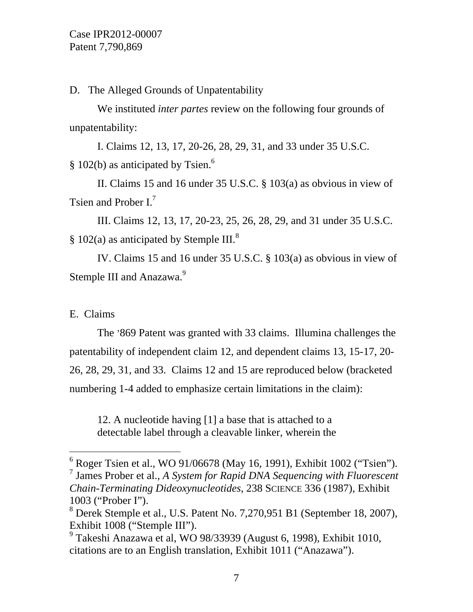D. The Alleged Grounds of Unpatentability

 We instituted *inter partes* review on the following four grounds of unpatentability:

I. Claims 12, 13, 17, 20-26, 28, 29, 31, and 33 under 35 U.S.C.  $§ 102(b)$  as anticipated by Tsien.<sup>6</sup>

II. Claims 15 and 16 under 35 U.S.C. § 103(a) as obvious in view of Tsien and Prober I.<sup>7</sup>

III. Claims 12, 13, 17, 20-23, 25, 26, 28, 29, and 31 under 35 U.S.C.  $§ 102(a)$  as anticipated by Stemple III.<sup>8</sup>

IV. Claims 15 and 16 under 35 U.S.C. § 103(a) as obvious in view of Stemple III and Anazawa.<sup>9</sup>

# E. Claims

l

The '869 Patent was granted with 33 claims. Illumina challenges the patentability of independent claim 12, and dependent claims 13, 15-17, 20- 26, 28, 29, 31, and 33. Claims 12 and 15 are reproduced below (bracketed numbering 1-4 added to emphasize certain limitations in the claim):

12. A nucleotide having [1] a base that is attached to a detectable label through a cleavable linker, wherein the

7 James Prober et al., *A System for Rapid DNA Sequencing with Fluorescent Chain-Terminating Dideoxynucleotides*, 238 SCIENCE 336 (1987), Exhibit 1003 ("Prober I").

 $6$  Roger Tsien et al., WO 91/06678 (May 16, 1991), Exhibit 1002 ("Tsien").

 $8$  Derek Stemple et al., U.S. Patent No. 7,270,951 B1 (September 18, 2007), Exhibit 1008 ("Stemple III").

<sup>9</sup> Takeshi Anazawa et al, WO 98/33939 (August 6, 1998), Exhibit 1010, citations are to an English translation, Exhibit 1011 ("Anazawa").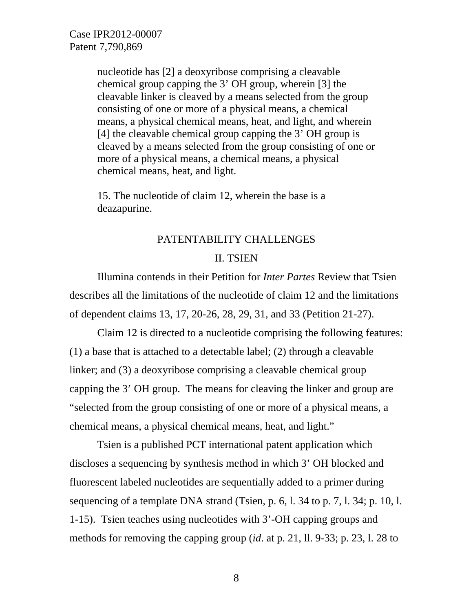> nucleotide has [2] a deoxyribose comprising a cleavable chemical group capping the 3' OH group, wherein [3] the cleavable linker is cleaved by a means selected from the group consisting of one or more of a physical means, a chemical means, a physical chemical means, heat, and light, and wherein [4] the cleavable chemical group capping the 3' OH group is cleaved by a means selected from the group consisting of one or more of a physical means, a chemical means, a physical chemical means, heat, and light.

15. The nucleotide of claim 12, wherein the base is a deazapurine.

# PATENTABILITY CHALLENGES II. TSIEN

Illumina contends in their Petition for *Inter Partes* Review that Tsien describes all the limitations of the nucleotide of claim 12 and the limitations of dependent claims 13, 17, 20-26, 28, 29, 31, and 33 (Petition 21-27).

Claim 12 is directed to a nucleotide comprising the following features: (1) a base that is attached to a detectable label; (2) through a cleavable linker; and (3) a deoxyribose comprising a cleavable chemical group capping the 3' OH group. The means for cleaving the linker and group are "selected from the group consisting of one or more of a physical means, a chemical means, a physical chemical means, heat, and light."

Tsien is a published PCT international patent application which discloses a sequencing by synthesis method in which 3' OH blocked and fluorescent labeled nucleotides are sequentially added to a primer during sequencing of a template DNA strand (Tsien, p. 6, l. 34 to p. 7, l. 34; p. 10, l. 1-15). Tsien teaches using nucleotides with 3'-OH capping groups and methods for removing the capping group (*id*. at p. 21, ll. 9-33; p. 23, l. 28 to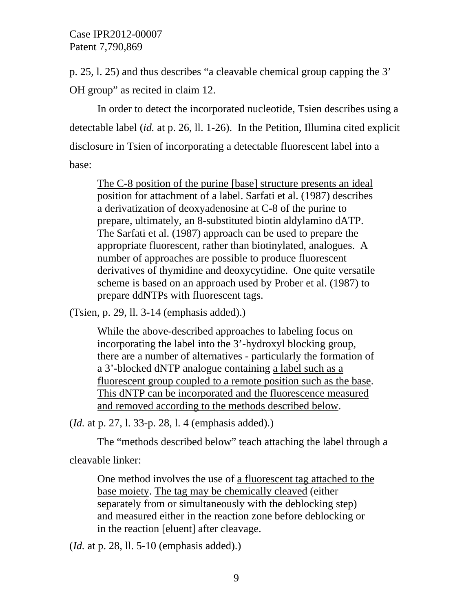p. 25, l. 25) and thus describes "a cleavable chemical group capping the 3' OH group" as recited in claim 12.

In order to detect the incorporated nucleotide, Tsien describes using a detectable label (*id.* at p. 26, ll. 1-26). In the Petition, Illumina cited explicit disclosure in Tsien of incorporating a detectable fluorescent label into a base:

The C-8 position of the purine [base] structure presents an ideal position for attachment of a label. Sarfati et al. (1987) describes a derivatization of deoxyadenosine at C-8 of the purine to prepare, ultimately, an 8-substituted biotin aldylamino dATP. The Sarfati et al. (1987) approach can be used to prepare the appropriate fluorescent, rather than biotinylated, analogues. A number of approaches are possible to produce fluorescent derivatives of thymidine and deoxycytidine. One quite versatile scheme is based on an approach used by Prober et al. (1987) to prepare ddNTPs with fluorescent tags.

(Tsien, p. 29, ll. 3-14 (emphasis added).)

While the above-described approaches to labeling focus on incorporating the label into the 3'-hydroxyl blocking group, there are a number of alternatives - particularly the formation of a 3'-blocked dNTP analogue containing a label such as a fluorescent group coupled to a remote position such as the base. This dNTP can be incorporated and the fluorescence measured and removed according to the methods described below.

(*Id.* at p. 27, l. 33-p. 28, l. 4 (emphasis added).)

The "methods described below" teach attaching the label through a

cleavable linker:

One method involves the use of a fluorescent tag attached to the base moiety. The tag may be chemically cleaved (either separately from or simultaneously with the deblocking step) and measured either in the reaction zone before deblocking or in the reaction [eluent] after cleavage.

(*Id.* at p. 28, ll. 5-10 (emphasis added).)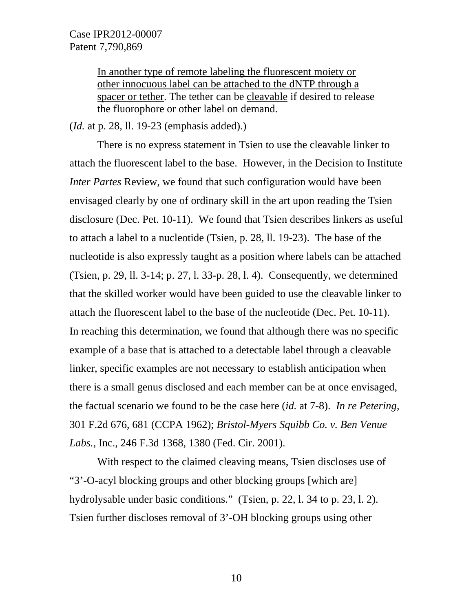In another type of remote labeling the fluorescent moiety or other innocuous label can be attached to the dNTP through a spacer or tether. The tether can be cleavable if desired to release the fluorophore or other label on demand.

(*Id.* at p. 28, ll. 19-23 (emphasis added).)

 There is no express statement in Tsien to use the cleavable linker to attach the fluorescent label to the base. However, in the Decision to Institute *Inter Partes* Review, we found that such configuration would have been envisaged clearly by one of ordinary skill in the art upon reading the Tsien disclosure (Dec. Pet. 10-11). We found that Tsien describes linkers as useful to attach a label to a nucleotide (Tsien, p. 28, ll. 19-23). The base of the nucleotide is also expressly taught as a position where labels can be attached (Tsien, p. 29, ll. 3-14; p. 27, l. 33-p. 28, l. 4). Consequently, we determined that the skilled worker would have been guided to use the cleavable linker to attach the fluorescent label to the base of the nucleotide (Dec. Pet. 10-11). In reaching this determination, we found that although there was no specific example of a base that is attached to a detectable label through a cleavable linker, specific examples are not necessary to establish anticipation when there is a small genus disclosed and each member can be at once envisaged, the factual scenario we found to be the case here (*id.* at 7-8). *In re Petering*, 301 F.2d 676, 681 (CCPA 1962); *Bristol-Myers Squibb Co. v. Ben Venue Labs.*, Inc., 246 F.3d 1368, 1380 (Fed. Cir. 2001).

 With respect to the claimed cleaving means, Tsien discloses use of "3'-O-acyl blocking groups and other blocking groups [which are] hydrolysable under basic conditions." (Tsien, p. 22, l. 34 to p. 23, l. 2). Tsien further discloses removal of 3'-OH blocking groups using other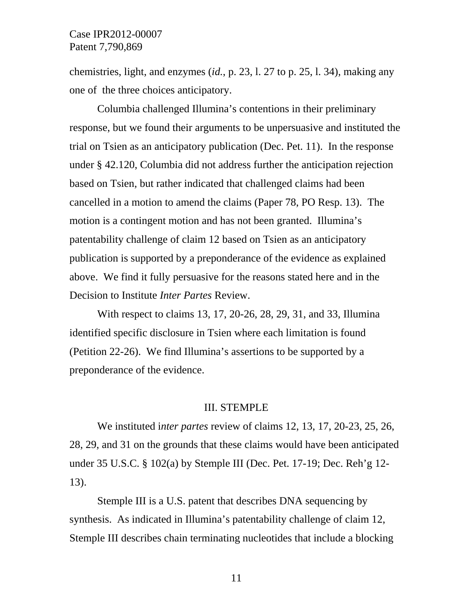chemistries, light, and enzymes (*id.*, p. 23, l. 27 to p. 25, l. 34), making any one of the three choices anticipatory.

Columbia challenged Illumina's contentions in their preliminary response, but we found their arguments to be unpersuasive and instituted the trial on Tsien as an anticipatory publication (Dec. Pet. 11). In the response under § 42.120, Columbia did not address further the anticipation rejection based on Tsien, but rather indicated that challenged claims had been cancelled in a motion to amend the claims (Paper 78, PO Resp. 13). The motion is a contingent motion and has not been granted. Illumina's patentability challenge of claim 12 based on Tsien as an anticipatory publication is supported by a preponderance of the evidence as explained above. We find it fully persuasive for the reasons stated here and in the Decision to Institute *Inter Partes* Review.

With respect to claims 13, 17, 20-26, 28, 29, 31, and 33, Illumina identified specific disclosure in Tsien where each limitation is found (Petition 22-26). We find Illumina's assertions to be supported by a preponderance of the evidence.

#### III. STEMPLE

We instituted i*nter partes* review of claims 12, 13, 17, 20-23, 25, 26, 28, 29, and 31 on the grounds that these claims would have been anticipated under 35 U.S.C. § 102(a) by Stemple III (Dec. Pet. 17-19; Dec. Reh'g 12- 13).

 Stemple III is a U.S. patent that describes DNA sequencing by synthesis. As indicated in Illumina's patentability challenge of claim 12, Stemple III describes chain terminating nucleotides that include a blocking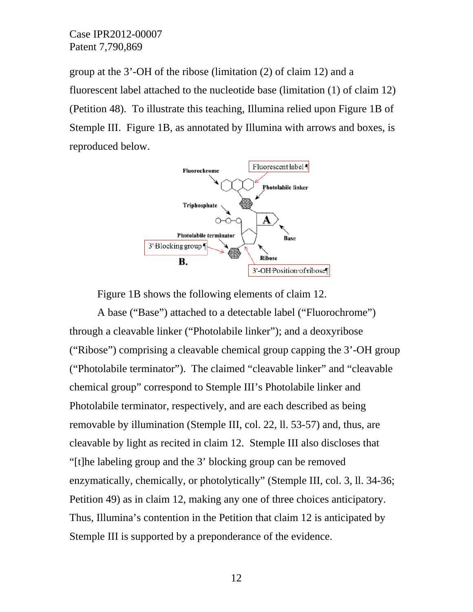group at the 3'-OH of the ribose (limitation (2) of claim 12) and a fluorescent label attached to the nucleotide base (limitation (1) of claim 12) (Petition 48). To illustrate this teaching, Illumina relied upon Figure 1B of Stemple III. Figure 1B, as annotated by Illumina with arrows and boxes, is reproduced below.



Figure 1B shows the following elements of claim 12.

A base ("Base") attached to a detectable label ("Fluorochrome") through a cleavable linker ("Photolabile linker"); and a deoxyribose ("Ribose") comprising a cleavable chemical group capping the 3'-OH group ("Photolabile terminator"). The claimed "cleavable linker" and "cleavable chemical group" correspond to Stemple III's Photolabile linker and Photolabile terminator, respectively, and are each described as being removable by illumination (Stemple III, col. 22, ll. 53-57) and, thus, are cleavable by light as recited in claim 12. Stemple III also discloses that "[t]he labeling group and the 3' blocking group can be removed enzymatically, chemically, or photolytically" (Stemple III, col. 3, ll. 34-36; Petition 49) as in claim 12, making any one of three choices anticipatory. Thus, Illumina's contention in the Petition that claim 12 is anticipated by Stemple III is supported by a preponderance of the evidence.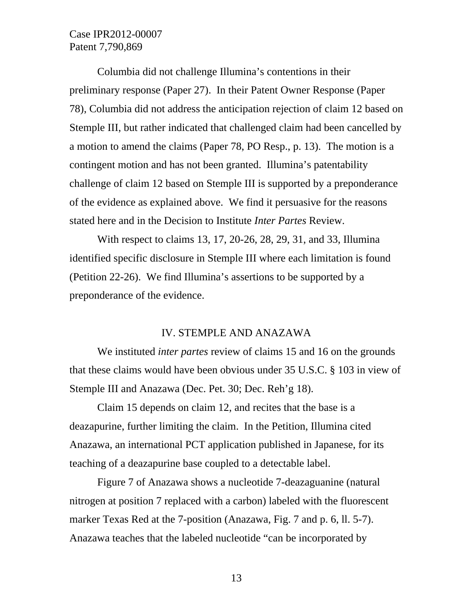Columbia did not challenge Illumina's contentions in their preliminary response (Paper 27). In their Patent Owner Response (Paper 78), Columbia did not address the anticipation rejection of claim 12 based on Stemple III, but rather indicated that challenged claim had been cancelled by a motion to amend the claims (Paper 78, PO Resp., p. 13). The motion is a contingent motion and has not been granted. Illumina's patentability challenge of claim 12 based on Stemple III is supported by a preponderance of the evidence as explained above. We find it persuasive for the reasons stated here and in the Decision to Institute *Inter Partes* Review.

With respect to claims 13, 17, 20-26, 28, 29, 31, and 33, Illumina identified specific disclosure in Stemple III where each limitation is found (Petition 22-26). We find Illumina's assertions to be supported by a preponderance of the evidence.

### IV. STEMPLE AND ANAZAWA

We instituted *inter partes* review of claims 15 and 16 on the grounds that these claims would have been obvious under 35 U.S.C. § 103 in view of Stemple III and Anazawa (Dec. Pet. 30; Dec. Reh'g 18).

Claim 15 depends on claim 12, and recites that the base is a deazapurine, further limiting the claim. In the Petition, Illumina cited Anazawa, an international PCT application published in Japanese, for its teaching of a deazapurine base coupled to a detectable label.

Figure 7 of Anazawa shows a nucleotide 7-deazaguanine (natural nitrogen at position 7 replaced with a carbon) labeled with the fluorescent marker Texas Red at the 7-position (Anazawa, Fig. 7 and p. 6, ll. 5-7). Anazawa teaches that the labeled nucleotide "can be incorporated by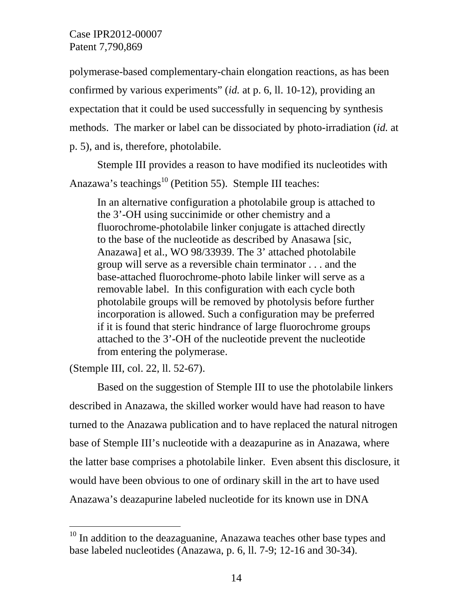polymerase-based complementary-chain elongation reactions, as has been confirmed by various experiments" (*id.* at p. 6, ll. 10-12), providing an expectation that it could be used successfully in sequencing by synthesis methods. The marker or label can be dissociated by photo-irradiation (*id.* at p. 5), and is, therefore, photolabile.

 Stemple III provides a reason to have modified its nucleotides with Anazawa's teachings<sup>10</sup> (Petition 55). Stemple III teaches:

In an alternative configuration a photolabile group is attached to the 3'-OH using succinimide or other chemistry and a fluorochrome-photolabile linker conjugate is attached directly to the base of the nucleotide as described by Anasawa [sic, Anazawa] et al., WO 98/33939. The 3' attached photolabile group will serve as a reversible chain terminator . . . and the base-attached fluorochrome-photo labile linker will serve as a removable label. In this configuration with each cycle both photolabile groups will be removed by photolysis before further incorporation is allowed. Such a configuration may be preferred if it is found that steric hindrance of large fluorochrome groups attached to the 3'-OH of the nucleotide prevent the nucleotide from entering the polymerase.

(Stemple III, col. 22, ll. 52-67).

 $\overline{a}$ 

 Based on the suggestion of Stemple III to use the photolabile linkers described in Anazawa, the skilled worker would have had reason to have turned to the Anazawa publication and to have replaced the natural nitrogen base of Stemple III's nucleotide with a deazapurine as in Anazawa, where the latter base comprises a photolabile linker. Even absent this disclosure, it would have been obvious to one of ordinary skill in the art to have used Anazawa's deazapurine labeled nucleotide for its known use in DNA

 $10$  In addition to the deazaguanine, Anazawa teaches other base types and base labeled nucleotides (Anazawa, p. 6, ll. 7-9; 12-16 and 30-34).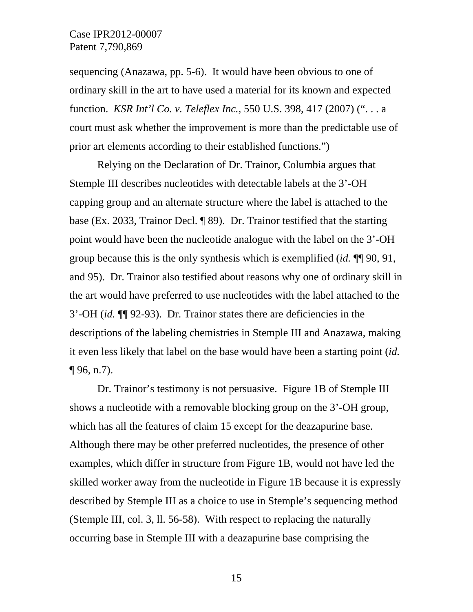sequencing (Anazawa, pp. 5-6). It would have been obvious to one of ordinary skill in the art to have used a material for its known and expected function. *KSR Int'l Co. v. Teleflex Inc.*, 550 U.S. 398, 417 (2007) (". . . a court must ask whether the improvement is more than the predictable use of prior art elements according to their established functions.")

 Relying on the Declaration of Dr. Trainor, Columbia argues that Stemple III describes nucleotides with detectable labels at the 3'-OH capping group and an alternate structure where the label is attached to the base (Ex. 2033, Trainor Decl. ¶ 89). Dr. Trainor testified that the starting point would have been the nucleotide analogue with the label on the 3'-OH group because this is the only synthesis which is exemplified (*id.* ¶¶ 90, 91, and 95). Dr. Trainor also testified about reasons why one of ordinary skill in the art would have preferred to use nucleotides with the label attached to the 3'-OH (*id.* ¶¶ 92-93). Dr. Trainor states there are deficiencies in the descriptions of the labeling chemistries in Stemple III and Anazawa, making it even less likely that label on the base would have been a starting point (*id.* ¶ 96, n.7).

Dr. Trainor's testimony is not persuasive. Figure 1B of Stemple III shows a nucleotide with a removable blocking group on the 3'-OH group, which has all the features of claim 15 except for the deazapurine base. Although there may be other preferred nucleotides, the presence of other examples, which differ in structure from Figure 1B, would not have led the skilled worker away from the nucleotide in Figure 1B because it is expressly described by Stemple III as a choice to use in Stemple's sequencing method (Stemple III, col. 3, ll. 56-58). With respect to replacing the naturally occurring base in Stemple III with a deazapurine base comprising the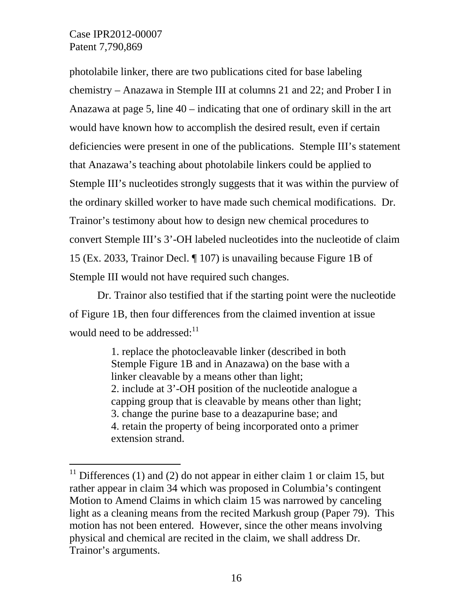-

photolabile linker, there are two publications cited for base labeling chemistry – Anazawa in Stemple III at columns 21 and 22; and Prober I in Anazawa at page 5, line 40 – indicating that one of ordinary skill in the art would have known how to accomplish the desired result, even if certain deficiencies were present in one of the publications. Stemple III's statement that Anazawa's teaching about photolabile linkers could be applied to Stemple III's nucleotides strongly suggests that it was within the purview of the ordinary skilled worker to have made such chemical modifications. Dr. Trainor's testimony about how to design new chemical procedures to convert Stemple III's 3'-OH labeled nucleotides into the nucleotide of claim 15 (Ex. 2033, Trainor Decl. ¶ 107) is unavailing because Figure 1B of Stemple III would not have required such changes.

Dr. Trainor also testified that if the starting point were the nucleotide of Figure 1B, then four differences from the claimed invention at issue would need to be addressed: $^{11}$ 

> 1. replace the photocleavable linker (described in both Stemple Figure 1B and in Anazawa) on the base with a linker cleavable by a means other than light; 2. include at 3'-OH position of the nucleotide analogue a capping group that is cleavable by means other than light; 3. change the purine base to a deazapurine base; and 4. retain the property of being incorporated onto a primer extension strand.

<sup>&</sup>lt;sup>11</sup> Differences (1) and (2) do not appear in either claim 1 or claim 15, but rather appear in claim 34 which was proposed in Columbia's contingent Motion to Amend Claims in which claim 15 was narrowed by canceling light as a cleaning means from the recited Markush group (Paper 79). This motion has not been entered. However, since the other means involving physical and chemical are recited in the claim, we shall address Dr. Trainor's arguments.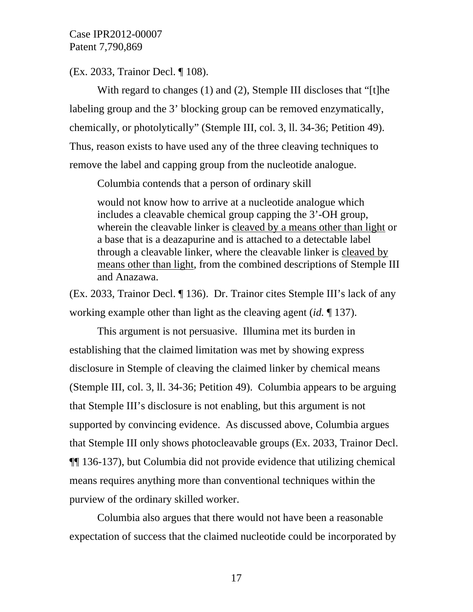(Ex. 2033, Trainor Decl. ¶ 108).

With regard to changes (1) and (2), Stemple III discloses that "[t]he labeling group and the 3' blocking group can be removed enzymatically, chemically, or photolytically" (Stemple III, col. 3, ll. 34-36; Petition 49). Thus, reason exists to have used any of the three cleaving techniques to remove the label and capping group from the nucleotide analogue.

Columbia contends that a person of ordinary skill

would not know how to arrive at a nucleotide analogue which includes a cleavable chemical group capping the 3'-OH group, wherein the cleavable linker is cleaved by a means other than light or a base that is a deazapurine and is attached to a detectable label through a cleavable linker, where the cleavable linker is cleaved by means other than light, from the combined descriptions of Stemple III and Anazawa.

(Ex. 2033, Trainor Decl. ¶ 136). Dr. Trainor cites Stemple III's lack of any working example other than light as the cleaving agent (*id.* ¶ 137).

 This argument is not persuasive. Illumina met its burden in establishing that the claimed limitation was met by showing express disclosure in Stemple of cleaving the claimed linker by chemical means (Stemple III, col. 3, ll. 34-36; Petition 49). Columbia appears to be arguing that Stemple III's disclosure is not enabling, but this argument is not supported by convincing evidence. As discussed above, Columbia argues that Stemple III only shows photocleavable groups (Ex. 2033, Trainor Decl. ¶¶ 136-137), but Columbia did not provide evidence that utilizing chemical means requires anything more than conventional techniques within the purview of the ordinary skilled worker.

Columbia also argues that there would not have been a reasonable expectation of success that the claimed nucleotide could be incorporated by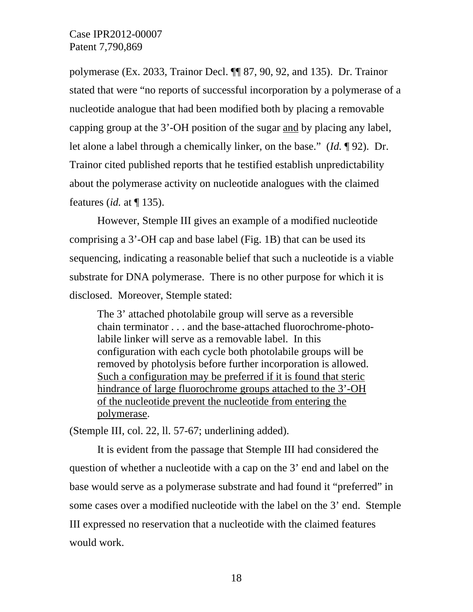polymerase (Ex. 2033, Trainor Decl. ¶¶ 87, 90, 92, and 135). Dr. Trainor stated that were "no reports of successful incorporation by a polymerase of a nucleotide analogue that had been modified both by placing a removable capping group at the 3'-OH position of the sugar and by placing any label, let alone a label through a chemically linker, on the base." (*Id.* ¶ 92). Dr. Trainor cited published reports that he testified establish unpredictability about the polymerase activity on nucleotide analogues with the claimed features (*id.* at ¶ 135).

However, Stemple III gives an example of a modified nucleotide comprising a 3'-OH cap and base label (Fig. 1B) that can be used its sequencing, indicating a reasonable belief that such a nucleotide is a viable substrate for DNA polymerase. There is no other purpose for which it is disclosed. Moreover, Stemple stated:

The 3' attached photolabile group will serve as a reversible chain terminator . . . and the base-attached fluorochrome-photolabile linker will serve as a removable label. In this configuration with each cycle both photolabile groups will be removed by photolysis before further incorporation is allowed. Such a configuration may be preferred if it is found that steric hindrance of large fluorochrome groups attached to the 3'-OH of the nucleotide prevent the nucleotide from entering the polymerase.

(Stemple III, col. 22, ll. 57-67; underlining added).

It is evident from the passage that Stemple III had considered the question of whether a nucleotide with a cap on the 3' end and label on the base would serve as a polymerase substrate and had found it "preferred" in some cases over a modified nucleotide with the label on the 3' end. Stemple III expressed no reservation that a nucleotide with the claimed features would work.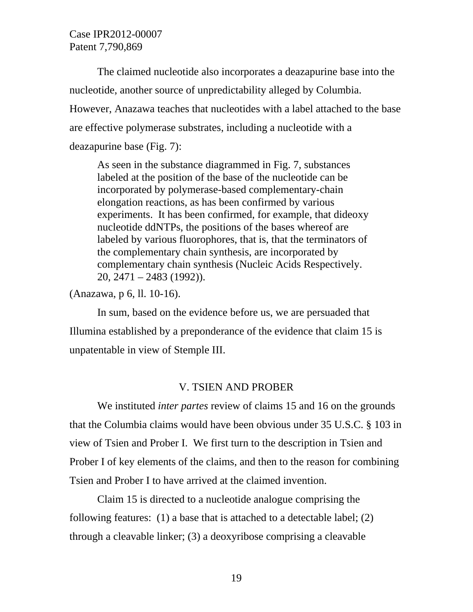The claimed nucleotide also incorporates a deazapurine base into the nucleotide, another source of unpredictability alleged by Columbia. However, Anazawa teaches that nucleotides with a label attached to the base are effective polymerase substrates, including a nucleotide with a deazapurine base (Fig. 7):

As seen in the substance diagrammed in Fig. 7, substances labeled at the position of the base of the nucleotide can be incorporated by polymerase-based complementary-chain elongation reactions, as has been confirmed by various experiments. It has been confirmed, for example, that dideoxy nucleotide ddNTPs, the positions of the bases whereof are labeled by various fluorophores, that is, that the terminators of the complementary chain synthesis, are incorporated by complementary chain synthesis (Nucleic Acids Respectively. 20, 2471 – 2483 (1992)).

(Anazawa, p 6, ll. 10-16).

 In sum, based on the evidence before us, we are persuaded that Illumina established by a preponderance of the evidence that claim 15 is unpatentable in view of Stemple III.

### V. TSIEN AND PROBER

 We instituted *inter partes* review of claims 15 and 16 on the grounds that the Columbia claims would have been obvious under 35 U.S.C. § 103 in view of Tsien and Prober I. We first turn to the description in Tsien and Prober I of key elements of the claims, and then to the reason for combining Tsien and Prober I to have arrived at the claimed invention.

Claim 15 is directed to a nucleotide analogue comprising the following features: (1) a base that is attached to a detectable label; (2) through a cleavable linker; (3) a deoxyribose comprising a cleavable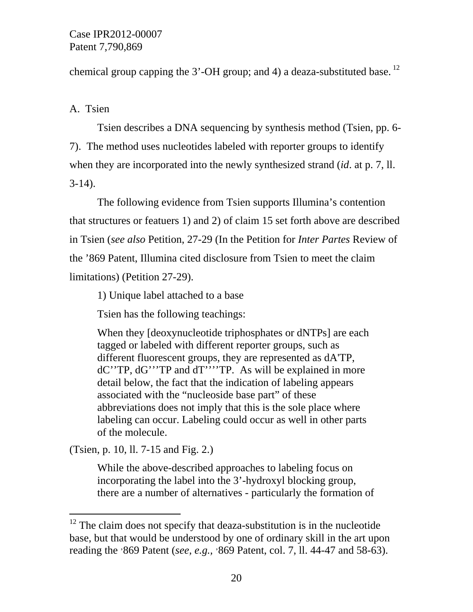chemical group capping the  $3'$ -OH group; and 4) a deaza-substituted base.<sup>12</sup>

A. Tsien

Tsien describes a DNA sequencing by synthesis method (Tsien, pp. 6- 7). The method uses nucleotides labeled with reporter groups to identify when they are incorporated into the newly synthesized strand (*id*. at p. 7, ll. 3-14).

The following evidence from Tsien supports Illumina's contention that structures or featuers 1) and 2) of claim 15 set forth above are described in Tsien (*see also* Petition, 27-29 (In the Petition for *Inter Partes* Review of the '869 Patent, Illumina cited disclosure from Tsien to meet the claim limitations) (Petition 27-29).

1) Unique label attached to a base

Tsien has the following teachings:

When they [deoxynucleotide triphosphates or dNTPs] are each tagged or labeled with different reporter groups, such as different fluorescent groups, they are represented as dA'TP, dC''TP, dG'''TP and dT''''TP. As will be explained in more detail below, the fact that the indication of labeling appears associated with the "nucleoside base part" of these abbreviations does not imply that this is the sole place where labeling can occur. Labeling could occur as well in other parts of the molecule.

(Tsien, p. 10, ll. 7-15 and Fig. 2.)

-

While the above-described approaches to labeling focus on incorporating the label into the 3'-hydroxyl blocking group, there are a number of alternatives - particularly the formation of

 $12$  The claim does not specify that deaza-substitution is in the nucleotide base, but that would be understood by one of ordinary skill in the art upon reading the '869 Patent (*see, e.g.,* '869 Patent, col. 7, ll. 44-47 and 58-63).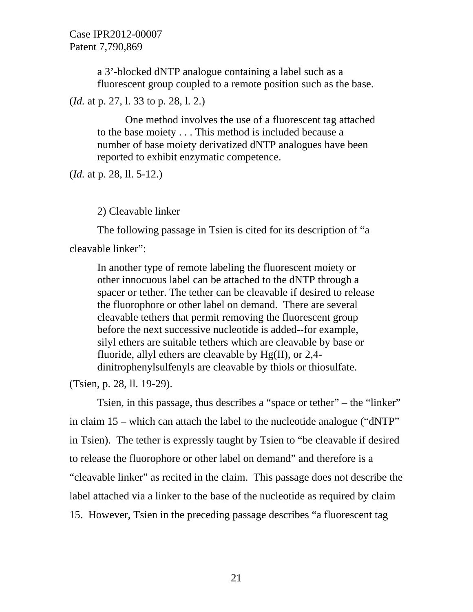a 3'-blocked dNTP analogue containing a label such as a fluorescent group coupled to a remote position such as the base.

(*Id.* at p. 27, l. 33 to p. 28, l. 2.)

One method involves the use of a fluorescent tag attached to the base moiety . . . This method is included because a number of base moiety derivatized dNTP analogues have been reported to exhibit enzymatic competence.

(*Id.* at p. 28, ll. 5-12.)

2) Cleavable linker

The following passage in Tsien is cited for its description of "a cleavable linker":

In another type of remote labeling the fluorescent moiety or other innocuous label can be attached to the dNTP through a spacer or tether. The tether can be cleavable if desired to release the fluorophore or other label on demand. There are several cleavable tethers that permit removing the fluorescent group before the next successive nucleotide is added--for example, silyl ethers are suitable tethers which are cleavable by base or fluoride, allyl ethers are cleavable by Hg(II), or 2,4 dinitrophenylsulfenyls are cleavable by thiols or thiosulfate.

(Tsien, p. 28, ll. 19-29).

 Tsien, in this passage, thus describes a "space or tether" – the "linker" in claim 15 – which can attach the label to the nucleotide analogue ("dNTP" in Tsien). The tether is expressly taught by Tsien to "be cleavable if desired to release the fluorophore or other label on demand" and therefore is a "cleavable linker" as recited in the claim. This passage does not describe the label attached via a linker to the base of the nucleotide as required by claim 15. However, Tsien in the preceding passage describes "a fluorescent tag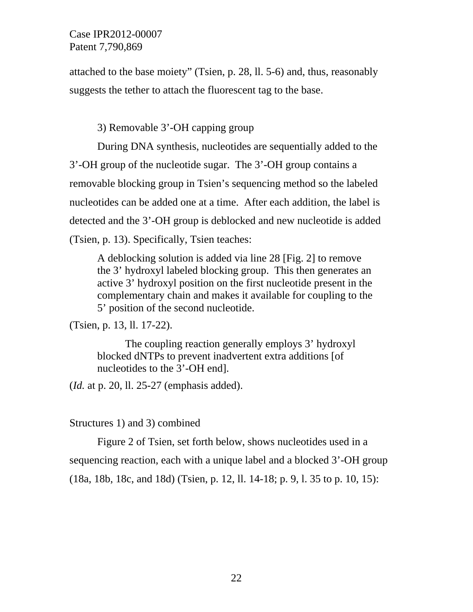attached to the base moiety" (Tsien, p. 28, ll. 5-6) and, thus, reasonably suggests the tether to attach the fluorescent tag to the base.

3) Removable 3'-OH capping group

During DNA synthesis, nucleotides are sequentially added to the 3'-OH group of the nucleotide sugar. The 3'-OH group contains a removable blocking group in Tsien's sequencing method so the labeled nucleotides can be added one at a time. After each addition, the label is detected and the 3'-OH group is deblocked and new nucleotide is added (Tsien, p. 13). Specifically, Tsien teaches:

A deblocking solution is added via line 28 [Fig. 2] to remove the 3' hydroxyl labeled blocking group. This then generates an active 3' hydroxyl position on the first nucleotide present in the complementary chain and makes it available for coupling to the 5' position of the second nucleotide.

(Tsien, p. 13, ll. 17-22).

The coupling reaction generally employs 3' hydroxyl blocked dNTPs to prevent inadvertent extra additions [of nucleotides to the 3'-OH end].

(*Id.* at p. 20, ll. 25-27 (emphasis added).

Structures 1) and 3) combined

Figure 2 of Tsien, set forth below, shows nucleotides used in a sequencing reaction, each with a unique label and a blocked 3'-OH group (18a, 18b, 18c, and 18d) (Tsien, p. 12, ll. 14-18; p. 9, l. 35 to p. 10, 15):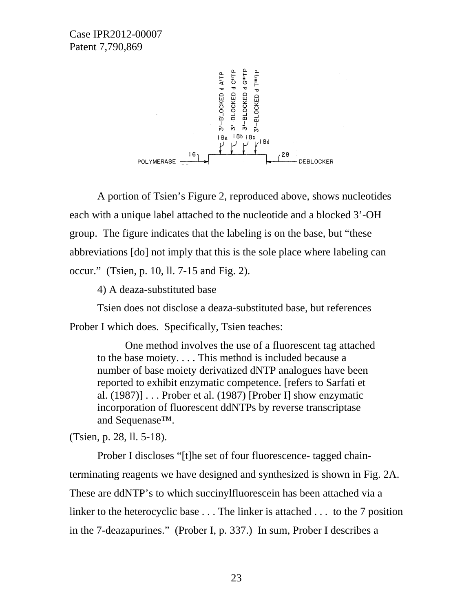

A portion of Tsien's Figure 2, reproduced above, shows nucleotides each with a unique label attached to the nucleotide and a blocked 3'-OH group. The figure indicates that the labeling is on the base, but "these abbreviations [do] not imply that this is the sole place where labeling can occur." (Tsien, p. 10, ll. 7-15 and Fig. 2).

4) A deaza-substituted base

Tsien does not disclose a deaza-substituted base, but references Prober I which does. Specifically, Tsien teaches:

One method involves the use of a fluorescent tag attached to the base moiety. . . . This method is included because a number of base moiety derivatized dNTP analogues have been reported to exhibit enzymatic competence. [refers to Sarfati et al. (1987)] . . . Prober et al. (1987) [Prober I] show enzymatic incorporation of fluorescent ddNTPs by reverse transcriptase and Sequenase™.

(Tsien, p. 28, ll. 5-18).

Prober I discloses "[t]he set of four fluorescence- tagged chainterminating reagents we have designed and synthesized is shown in Fig. 2A. These are ddNTP's to which succinylfluorescein has been attached via a linker to the heterocyclic base . . . The linker is attached . . . to the 7 position in the 7-deazapurines." (Prober I, p. 337.) In sum, Prober I describes a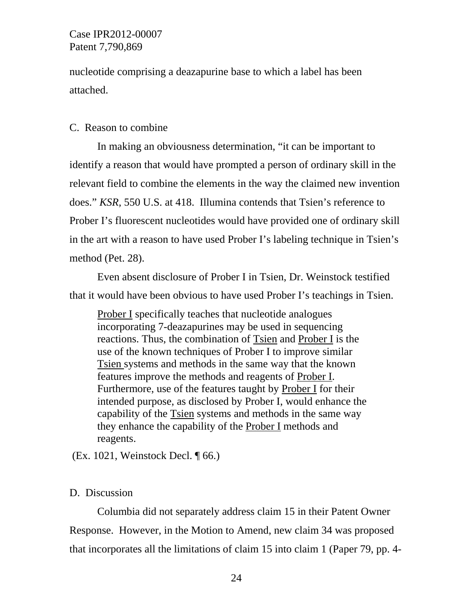nucleotide comprising a deazapurine base to which a label has been attached.

### C. Reason to combine

In making an obviousness determination, "it can be important to identify a reason that would have prompted a person of ordinary skill in the relevant field to combine the elements in the way the claimed new invention does." *KSR,* 550 U.S. at 418. Illumina contends that Tsien's reference to Prober I's fluorescent nucleotides would have provided one of ordinary skill in the art with a reason to have used Prober I's labeling technique in Tsien's method (Pet. 28).

Even absent disclosure of Prober I in Tsien, Dr. Weinstock testified that it would have been obvious to have used Prober I's teachings in Tsien.

Prober I specifically teaches that nucleotide analogues incorporating 7-deazapurines may be used in sequencing reactions. Thus, the combination of Tsien and Prober I is the use of the known techniques of Prober I to improve similar Tsien systems and methods in the same way that the known features improve the methods and reagents of Prober I. Furthermore, use of the features taught by Prober I for their intended purpose, as disclosed by Prober I, would enhance the capability of the Tsien systems and methods in the same way they enhance the capability of the Prober I methods and reagents.

(Ex. 1021, Weinstock Decl. ¶ 66.)

### D. Discussion

Columbia did not separately address claim 15 in their Patent Owner Response. However, in the Motion to Amend, new claim 34 was proposed that incorporates all the limitations of claim 15 into claim 1 (Paper 79, pp. 4-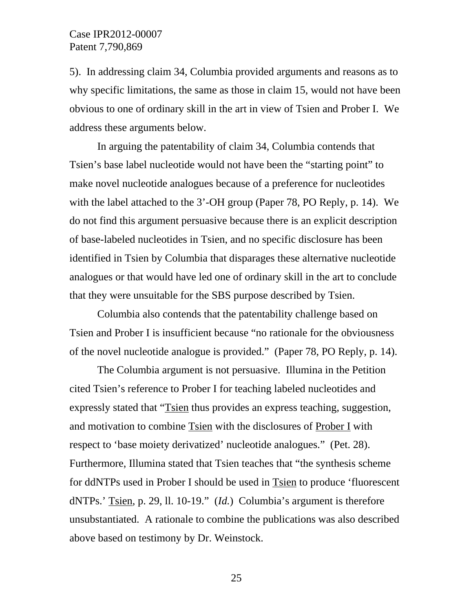5). In addressing claim 34, Columbia provided arguments and reasons as to why specific limitations, the same as those in claim 15, would not have been obvious to one of ordinary skill in the art in view of Tsien and Prober I. We address these arguments below.

In arguing the patentability of claim 34, Columbia contends that Tsien's base label nucleotide would not have been the "starting point" to make novel nucleotide analogues because of a preference for nucleotides with the label attached to the 3'-OH group (Paper 78, PO Reply, p. 14). We do not find this argument persuasive because there is an explicit description of base-labeled nucleotides in Tsien, and no specific disclosure has been identified in Tsien by Columbia that disparages these alternative nucleotide analogues or that would have led one of ordinary skill in the art to conclude that they were unsuitable for the SBS purpose described by Tsien.

Columbia also contends that the patentability challenge based on Tsien and Prober I is insufficient because "no rationale for the obviousness of the novel nucleotide analogue is provided." (Paper 78, PO Reply, p. 14).

The Columbia argument is not persuasive. Illumina in the Petition cited Tsien's reference to Prober I for teaching labeled nucleotides and expressly stated that "Tsien thus provides an express teaching, suggestion, and motivation to combine Tsien with the disclosures of Prober I with respect to 'base moiety derivatized' nucleotide analogues." (Pet. 28). Furthermore, Illumina stated that Tsien teaches that "the synthesis scheme for ddNTPs used in Prober I should be used in Tsien to produce 'fluorescent dNTPs.' Tsien, p. 29, ll. 10-19." (*Id.*) Columbia's argument is therefore unsubstantiated. A rationale to combine the publications was also described above based on testimony by Dr. Weinstock.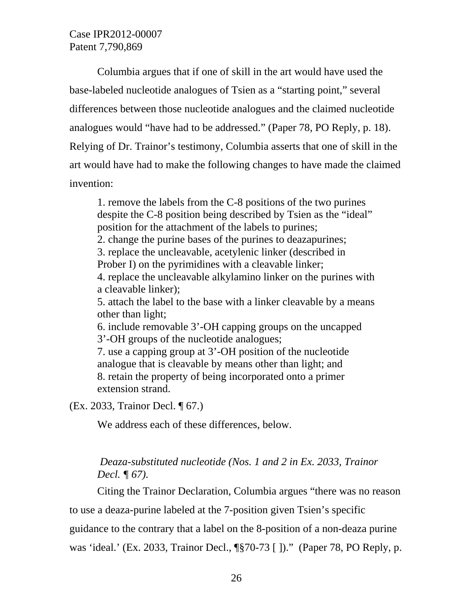Columbia argues that if one of skill in the art would have used the base-labeled nucleotide analogues of Tsien as a "starting point," several differences between those nucleotide analogues and the claimed nucleotide analogues would "have had to be addressed." (Paper 78, PO Reply, p. 18). Relying of Dr. Trainor's testimony, Columbia asserts that one of skill in the art would have had to make the following changes to have made the claimed invention:

1. remove the labels from the C-8 positions of the two purines despite the C-8 position being described by Tsien as the "ideal" position for the attachment of the labels to purines; 2. change the purine bases of the purines to deazapurines; 3. replace the uncleavable, acetylenic linker (described in Prober I) on the pyrimidines with a cleavable linker; 4. replace the uncleavable alkylamino linker on the purines with a cleavable linker); 5. attach the label to the base with a linker cleavable by a means other than light; 6. include removable 3'-OH capping groups on the uncapped 3'-OH groups of the nucleotide analogues; 7. use a capping group at 3'-OH position of the nucleotide analogue that is cleavable by means other than light; and 8. retain the property of being incorporated onto a primer extension strand.

(Ex. 2033, Trainor Decl. ¶ 67.)

We address each of these differences, below.

# *Deaza-substituted nucleotide (Nos. 1 and 2 in Ex. 2033, Trainor Decl. ¶ 67).*

 Citing the Trainor Declaration, Columbia argues "there was no reason to use a deaza-purine labeled at the 7-position given Tsien's specific guidance to the contrary that a label on the 8-position of a non-deaza purine was 'ideal.' (Ex. 2033, Trainor Decl., ¶§70-73 [ ])." (Paper 78, PO Reply, p.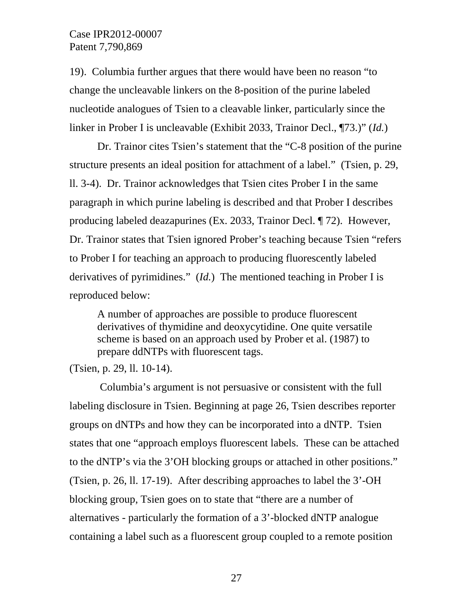19). Columbia further argues that there would have been no reason "to change the uncleavable linkers on the 8-position of the purine labeled nucleotide analogues of Tsien to a cleavable linker, particularly since the linker in Prober I is uncleavable (Exhibit 2033, Trainor Decl., ¶73.)" (*Id.*)

 Dr. Trainor cites Tsien's statement that the "C-8 position of the purine structure presents an ideal position for attachment of a label." (Tsien, p. 29, ll. 3-4). Dr. Trainor acknowledges that Tsien cites Prober I in the same paragraph in which purine labeling is described and that Prober I describes producing labeled deazapurines (Ex. 2033, Trainor Decl. ¶ 72). However, Dr. Trainor states that Tsien ignored Prober's teaching because Tsien "refers to Prober I for teaching an approach to producing fluorescently labeled derivatives of pyrimidines." (*Id.*) The mentioned teaching in Prober I is reproduced below:

A number of approaches are possible to produce fluorescent derivatives of thymidine and deoxycytidine. One quite versatile scheme is based on an approach used by Prober et al. (1987) to prepare ddNTPs with fluorescent tags.

(Tsien, p. 29, ll. 10-14).

 Columbia's argument is not persuasive or consistent with the full labeling disclosure in Tsien. Beginning at page 26, Tsien describes reporter groups on dNTPs and how they can be incorporated into a dNTP. Tsien states that one "approach employs fluorescent labels. These can be attached to the dNTP's via the 3'OH blocking groups or attached in other positions." (Tsien, p. 26, ll. 17-19). After describing approaches to label the 3'-OH blocking group, Tsien goes on to state that "there are a number of alternatives - particularly the formation of a 3'-blocked dNTP analogue containing a label such as a fluorescent group coupled to a remote position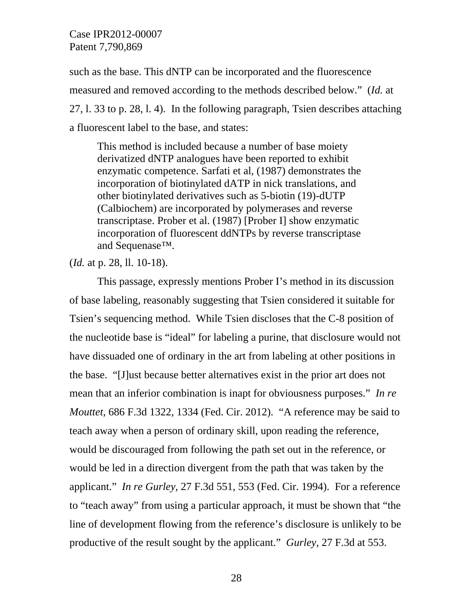such as the base. This dNTP can be incorporated and the fluorescence measured and removed according to the methods described below." (*Id.* at 27, l. 33 to p. 28, l. 4). In the following paragraph, Tsien describes attaching a fluorescent label to the base, and states:

This method is included because a number of base moiety derivatized dNTP analogues have been reported to exhibit enzymatic competence. Sarfati et al, (1987) demonstrates the incorporation of biotinylated dATP in nick translations, and other biotinylated derivatives such as 5-biotin (19)-dUTP (Calbiochem) are incorporated by polymerases and reverse transcriptase. Prober et al. (1987) [Prober I] show enzymatic incorporation of fluorescent ddNTPs by reverse transcriptase and Sequenase™.

(*Id.* at p. 28, ll. 10-18).

This passage, expressly mentions Prober I's method in its discussion of base labeling, reasonably suggesting that Tsien considered it suitable for Tsien's sequencing method. While Tsien discloses that the C-8 position of the nucleotide base is "ideal" for labeling a purine, that disclosure would not have dissuaded one of ordinary in the art from labeling at other positions in the base. "[J]ust because better alternatives exist in the prior art does not mean that an inferior combination is inapt for obviousness purposes." *In re Mouttet*, 686 F.3d 1322, 1334 (Fed. Cir. 2012). "A reference may be said to teach away when a person of ordinary skill, upon reading the reference, would be discouraged from following the path set out in the reference, or would be led in a direction divergent from the path that was taken by the applicant." *In re Gurley*, 27 F.3d 551, 553 (Fed. Cir. 1994). For a reference to "teach away" from using a particular approach, it must be shown that "the line of development flowing from the reference's disclosure is unlikely to be productive of the result sought by the applicant." *Gurley*, 27 F.3d at 553.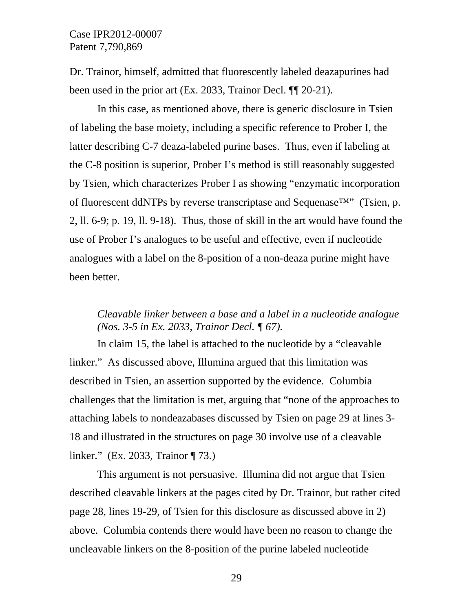Dr. Trainor, himself, admitted that fluorescently labeled deazapurines had been used in the prior art (Ex. 2033, Trainor Decl.  $\P$  20-21).

 In this case, as mentioned above, there is generic disclosure in Tsien of labeling the base moiety, including a specific reference to Prober I, the latter describing C-7 deaza-labeled purine bases. Thus, even if labeling at the C-8 position is superior, Prober I's method is still reasonably suggested by Tsien, which characterizes Prober I as showing "enzymatic incorporation of fluorescent ddNTPs by reverse transcriptase and Sequenase™" (Tsien, p. 2, ll. 6-9; p. 19, ll. 9-18). Thus, those of skill in the art would have found the use of Prober I's analogues to be useful and effective, even if nucleotide analogues with a label on the 8-position of a non-deaza purine might have been better.

# *Cleavable linker between a base and a label in a nucleotide analogue (Nos. 3-5 in Ex. 2033, Trainor Decl. ¶ 67).*

 In claim 15, the label is attached to the nucleotide by a "cleavable linker." As discussed above, Illumina argued that this limitation was described in Tsien, an assertion supported by the evidence. Columbia challenges that the limitation is met, arguing that "none of the approaches to attaching labels to nondeazabases discussed by Tsien on page 29 at lines 3- 18 and illustrated in the structures on page 30 involve use of a cleavable linker." (Ex. 2033, Trainor ¶ 73.)

 This argument is not persuasive. Illumina did not argue that Tsien described cleavable linkers at the pages cited by Dr. Trainor, but rather cited page 28, lines 19-29, of Tsien for this disclosure as discussed above in 2) above. Columbia contends there would have been no reason to change the uncleavable linkers on the 8-position of the purine labeled nucleotide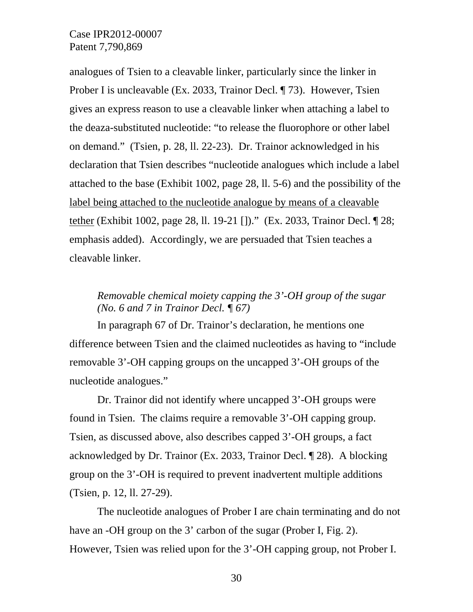analogues of Tsien to a cleavable linker, particularly since the linker in Prober I is uncleavable (Ex. 2033, Trainor Decl. ¶ 73). However, Tsien gives an express reason to use a cleavable linker when attaching a label to the deaza-substituted nucleotide: "to release the fluorophore or other label on demand." (Tsien, p. 28, ll. 22-23). Dr. Trainor acknowledged in his declaration that Tsien describes "nucleotide analogues which include a label attached to the base (Exhibit 1002, page 28, ll. 5-6) and the possibility of the label being attached to the nucleotide analogue by means of a cleavable tether (Exhibit 1002, page 28, ll. 19-21 [])." (Ex. 2033, Trainor Decl. ¶ 28; emphasis added). Accordingly, we are persuaded that Tsien teaches a cleavable linker.

# *Removable chemical moiety capping the 3'-OH group of the sugar (No. 6 and 7 in Trainor Decl. ¶ 67)*

 In paragraph 67 of Dr. Trainor's declaration, he mentions one difference between Tsien and the claimed nucleotides as having to "include removable 3'-OH capping groups on the uncapped 3'-OH groups of the nucleotide analogues."

 Dr. Trainor did not identify where uncapped 3'-OH groups were found in Tsien. The claims require a removable 3'-OH capping group. Tsien, as discussed above, also describes capped 3'-OH groups, a fact acknowledged by Dr. Trainor (Ex. 2033, Trainor Decl. ¶ 28). A blocking group on the 3'-OH is required to prevent inadvertent multiple additions (Tsien, p. 12, ll. 27-29).

The nucleotide analogues of Prober I are chain terminating and do not have an -OH group on the 3' carbon of the sugar (Prober I, Fig. 2). However, Tsien was relied upon for the 3'-OH capping group, not Prober I.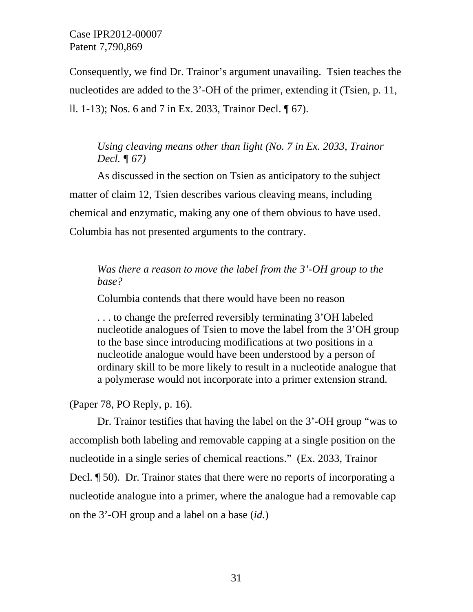Consequently, we find Dr. Trainor's argument unavailing. Tsien teaches the nucleotides are added to the 3'-OH of the primer, extending it (Tsien, p. 11, ll. 1-13); Nos. 6 and 7 in Ex. 2033, Trainor Decl. ¶ 67).

# *Using cleaving means other than light (No. 7 in Ex. 2033, Trainor Decl. ¶ 67)*

As discussed in the section on Tsien as anticipatory to the subject matter of claim 12, Tsien describes various cleaving means, including chemical and enzymatic, making any one of them obvious to have used. Columbia has not presented arguments to the contrary.

# *Was there a reason to move the label from the 3'-OH group to the base?*

Columbia contends that there would have been no reason

. . . to change the preferred reversibly terminating 3'OH labeled nucleotide analogues of Tsien to move the label from the 3'OH group to the base since introducing modifications at two positions in a nucleotide analogue would have been understood by a person of ordinary skill to be more likely to result in a nucleotide analogue that a polymerase would not incorporate into a primer extension strand.

(Paper 78, PO Reply, p. 16).

Dr. Trainor testifies that having the label on the 3'-OH group "was to accomplish both labeling and removable capping at a single position on the nucleotide in a single series of chemical reactions." (Ex. 2033, Trainor Decl. ¶ 50). Dr. Trainor states that there were no reports of incorporating a nucleotide analogue into a primer, where the analogue had a removable cap on the 3'-OH group and a label on a base (*id.*)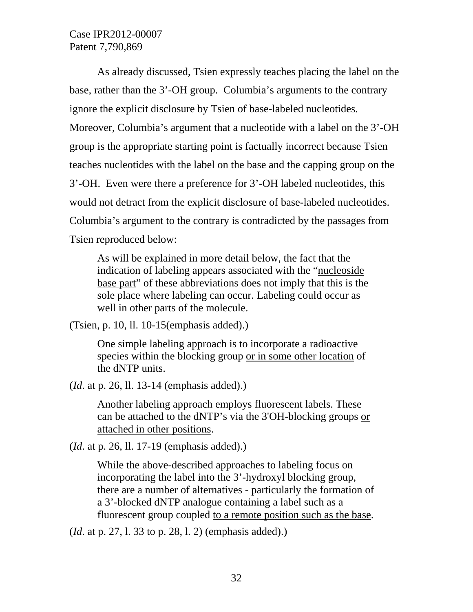As already discussed, Tsien expressly teaches placing the label on the base, rather than the 3'-OH group. Columbia's arguments to the contrary ignore the explicit disclosure by Tsien of base-labeled nucleotides. Moreover, Columbia's argument that a nucleotide with a label on the 3'-OH group is the appropriate starting point is factually incorrect because Tsien teaches nucleotides with the label on the base and the capping group on the 3'-OH. Even were there a preference for 3'-OH labeled nucleotides, this would not detract from the explicit disclosure of base-labeled nucleotides. Columbia's argument to the contrary is contradicted by the passages from Tsien reproduced below:

As will be explained in more detail below, the fact that the indication of labeling appears associated with the "nucleoside base part" of these abbreviations does not imply that this is the sole place where labeling can occur. Labeling could occur as well in other parts of the molecule.

(Tsien, p. 10, ll. 10-15(emphasis added).)

One simple labeling approach is to incorporate a radioactive species within the blocking group <u>or in some other location</u> of the dNTP units.

(*Id*. at p. 26, ll. 13-14 (emphasis added).)

Another labeling approach employs fluorescent labels. These can be attached to the dNTP's via the 3'OH-blocking groups or attached in other positions.

(*Id*. at p. 26, ll. 17-19 (emphasis added).)

While the above-described approaches to labeling focus on incorporating the label into the 3'-hydroxyl blocking group, there are a number of alternatives - particularly the formation of a 3'-blocked dNTP analogue containing a label such as a fluorescent group coupled to a remote position such as the base.

(*Id*. at p. 27, l. 33 to p. 28, l. 2) (emphasis added).)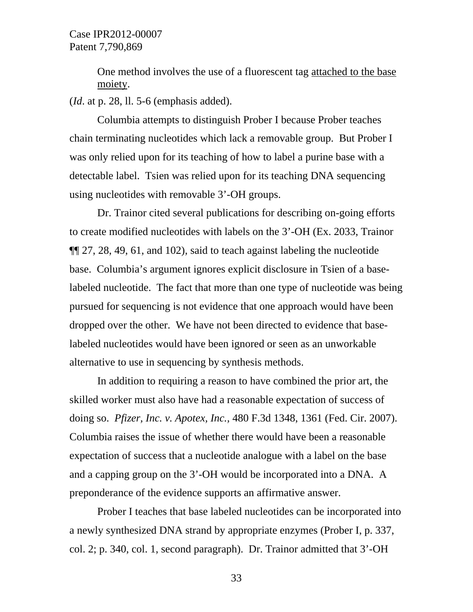> One method involves the use of a fluorescent tag attached to the base moiety.

(*Id*. at p. 28, ll. 5-6 (emphasis added).

Columbia attempts to distinguish Prober I because Prober teaches chain terminating nucleotides which lack a removable group. But Prober I was only relied upon for its teaching of how to label a purine base with a detectable label. Tsien was relied upon for its teaching DNA sequencing using nucleotides with removable 3'-OH groups.

Dr. Trainor cited several publications for describing on-going efforts to create modified nucleotides with labels on the 3'-OH (Ex. 2033, Trainor ¶¶ 27, 28, 49, 61, and 102), said to teach against labeling the nucleotide base. Columbia's argument ignores explicit disclosure in Tsien of a baselabeled nucleotide. The fact that more than one type of nucleotide was being pursued for sequencing is not evidence that one approach would have been dropped over the other. We have not been directed to evidence that baselabeled nucleotides would have been ignored or seen as an unworkable alternative to use in sequencing by synthesis methods.

In addition to requiring a reason to have combined the prior art, the skilled worker must also have had a reasonable expectation of success of doing so. *Pfizer, Inc. v. Apotex, Inc.,* 480 F.3d 1348, 1361 (Fed. Cir. 2007). Columbia raises the issue of whether there would have been a reasonable expectation of success that a nucleotide analogue with a label on the base and a capping group on the 3'-OH would be incorporated into a DNA. A preponderance of the evidence supports an affirmative answer.

Prober I teaches that base labeled nucleotides can be incorporated into a newly synthesized DNA strand by appropriate enzymes (Prober I, p. 337, col. 2; p. 340, col. 1, second paragraph). Dr. Trainor admitted that 3'-OH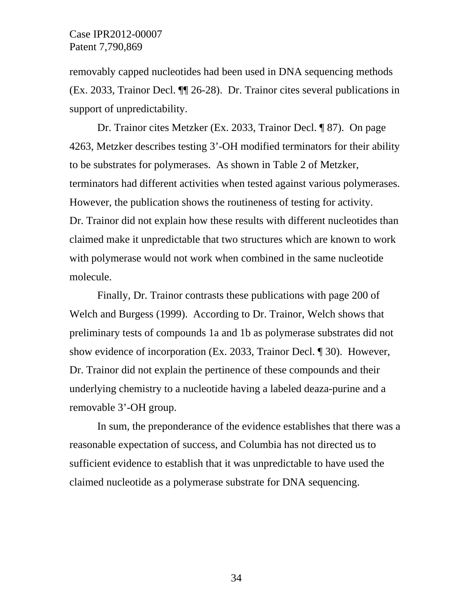removably capped nucleotides had been used in DNA sequencing methods (Ex. 2033, Trainor Decl. ¶¶ 26-28). Dr. Trainor cites several publications in support of unpredictability.

Dr. Trainor cites Metzker (Ex. 2033, Trainor Decl. ¶ 87). On page 4263, Metzker describes testing 3'-OH modified terminators for their ability to be substrates for polymerases. As shown in Table 2 of Metzker, terminators had different activities when tested against various polymerases. However, the publication shows the routineness of testing for activity. Dr. Trainor did not explain how these results with different nucleotides than claimed make it unpredictable that two structures which are known to work with polymerase would not work when combined in the same nucleotide molecule.

Finally, Dr. Trainor contrasts these publications with page 200 of Welch and Burgess (1999). According to Dr. Trainor, Welch shows that preliminary tests of compounds 1a and 1b as polymerase substrates did not show evidence of incorporation (Ex. 2033, Trainor Decl. ¶ 30). However, Dr. Trainor did not explain the pertinence of these compounds and their underlying chemistry to a nucleotide having a labeled deaza-purine and a removable 3'-OH group.

In sum, the preponderance of the evidence establishes that there was a reasonable expectation of success, and Columbia has not directed us to sufficient evidence to establish that it was unpredictable to have used the claimed nucleotide as a polymerase substrate for DNA sequencing.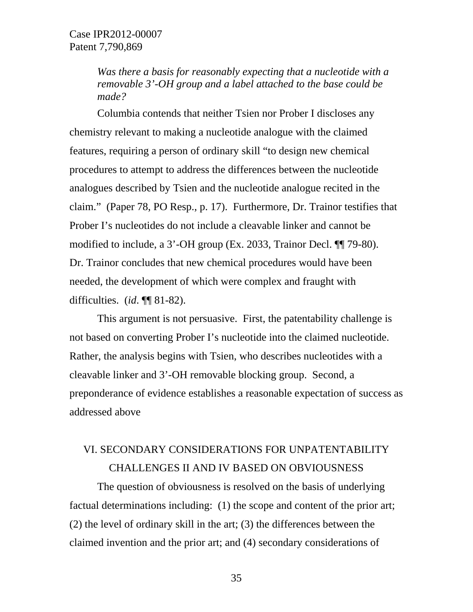*Was there a basis for reasonably expecting that a nucleotide with a removable 3'-OH group and a label attached to the base could be made?* 

 Columbia contends that neither Tsien nor Prober I discloses any chemistry relevant to making a nucleotide analogue with the claimed features, requiring a person of ordinary skill "to design new chemical procedures to attempt to address the differences between the nucleotide analogues described by Tsien and the nucleotide analogue recited in the claim." (Paper 78, PO Resp., p. 17). Furthermore, Dr. Trainor testifies that Prober I's nucleotides do not include a cleavable linker and cannot be modified to include, a 3'-OH group (Ex. 2033, Trainor Decl. ¶¶ 79-80). Dr. Trainor concludes that new chemical procedures would have been needed, the development of which were complex and fraught with difficulties. (*id*. ¶¶ 81-82).

 This argument is not persuasive. First, the patentability challenge is not based on converting Prober I's nucleotide into the claimed nucleotide. Rather, the analysis begins with Tsien, who describes nucleotides with a cleavable linker and 3'-OH removable blocking group. Second, a preponderance of evidence establishes a reasonable expectation of success as addressed above

# VI. SECONDARY CONSIDERATIONS FOR UNPATENTABILITY CHALLENGES II AND IV BASED ON OBVIOUSNESS

The question of obviousness is resolved on the basis of underlying factual determinations including: (1) the scope and content of the prior art; (2) the level of ordinary skill in the art; (3) the differences between the claimed invention and the prior art; and (4) secondary considerations of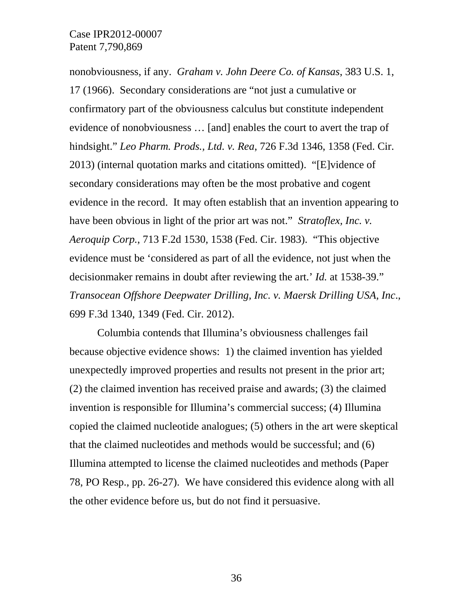nonobviousness, if any. *Graham v. John Deere Co. of Kansas*, 383 U.S. 1, 17 (1966). Secondary considerations are "not just a cumulative or confirmatory part of the obviousness calculus but constitute independent evidence of nonobviousness … [and] enables the court to avert the trap of hindsight." *Leo Pharm. Prods., Ltd. v. Rea*, 726 F.3d 1346, 1358 (Fed. Cir. 2013) (internal quotation marks and citations omitted). "[E]vidence of secondary considerations may often be the most probative and cogent evidence in the record. It may often establish that an invention appearing to have been obvious in light of the prior art was not." *Stratoflex, Inc. v. Aeroquip Corp.*, 713 F.2d 1530, 1538 (Fed. Cir. 1983). "This objective evidence must be 'considered as part of all the evidence, not just when the decisionmaker remains in doubt after reviewing the art.' *Id.* at 1538-39." *Transocean Offshore Deepwater Drilling, Inc. v. Maersk Drilling USA, Inc*., 699 F.3d 1340, 1349 (Fed. Cir. 2012).

Columbia contends that Illumina's obviousness challenges fail because objective evidence shows: 1) the claimed invention has yielded unexpectedly improved properties and results not present in the prior art; (2) the claimed invention has received praise and awards; (3) the claimed invention is responsible for Illumina's commercial success; (4) Illumina copied the claimed nucleotide analogues; (5) others in the art were skeptical that the claimed nucleotides and methods would be successful; and (6) Illumina attempted to license the claimed nucleotides and methods (Paper 78, PO Resp., pp. 26-27). We have considered this evidence along with all the other evidence before us, but do not find it persuasive.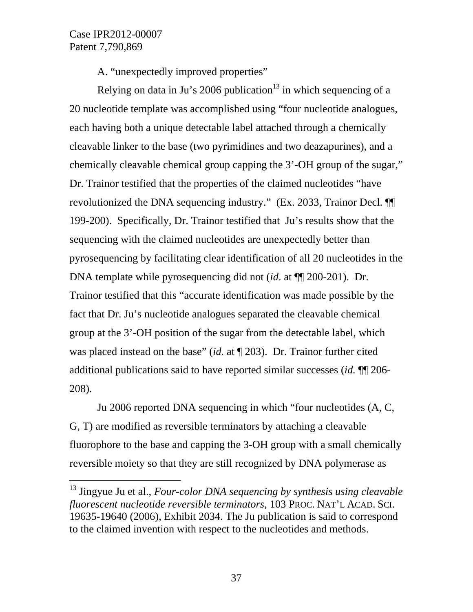$\overline{a}$ 

A. "unexpectedly improved properties"

Relying on data in Ju's 2006 publication<sup>13</sup> in which sequencing of a 20 nucleotide template was accomplished using "four nucleotide analogues, each having both a unique detectable label attached through a chemically cleavable linker to the base (two pyrimidines and two deazapurines), and a chemically cleavable chemical group capping the 3'-OH group of the sugar," Dr. Trainor testified that the properties of the claimed nucleotides "have revolutionized the DNA sequencing industry." (Ex. 2033, Trainor Decl. ¶¶ 199-200). Specifically, Dr. Trainor testified that Ju's results show that the sequencing with the claimed nucleotides are unexpectedly better than pyrosequencing by facilitating clear identification of all 20 nucleotides in the DNA template while pyrosequencing did not (*id*. at ¶¶ 200-201). Dr. Trainor testified that this "accurate identification was made possible by the fact that Dr. Ju's nucleotide analogues separated the cleavable chemical group at the 3'-OH position of the sugar from the detectable label, which was placed instead on the base" (*id.* at ¶ 203). Dr. Trainor further cited additional publications said to have reported similar successes (*id.* ¶¶ 206- 208).

Ju 2006 reported DNA sequencing in which "four nucleotides (A, C, G, T) are modified as reversible terminators by attaching a cleavable fluorophore to the base and capping the 3-OH group with a small chemically reversible moiety so that they are still recognized by DNA polymerase as

<sup>13</sup> Jingyue Ju et al., *Four-color DNA sequencing by synthesis using cleavable fluorescent nucleotide reversible terminators*, 103 PROC. NAT'L ACAD. SCI. 19635-19640 (2006), Exhibit 2034. The Ju publication is said to correspond to the claimed invention with respect to the nucleotides and methods.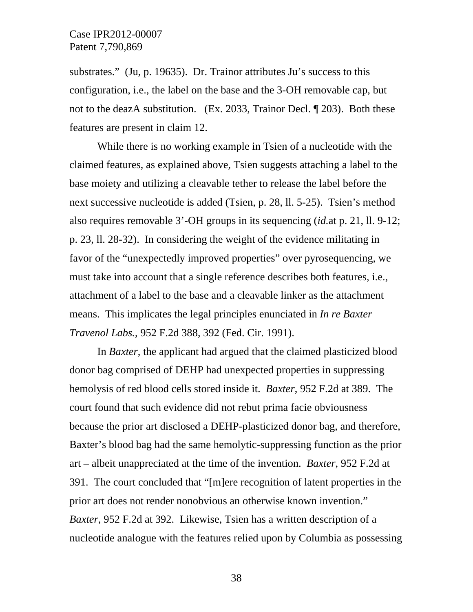substrates." (Ju, p. 19635). Dr. Trainor attributes Ju's success to this configuration, i.e., the label on the base and the 3-OH removable cap, but not to the deazA substitution. (Ex. 2033, Trainor Decl. ¶ 203). Both these features are present in claim 12.

While there is no working example in Tsien of a nucleotide with the claimed features, as explained above, Tsien suggests attaching a label to the base moiety and utilizing a cleavable tether to release the label before the next successive nucleotide is added (Tsien, p. 28, ll. 5-25). Tsien's method also requires removable 3'-OH groups in its sequencing (*id.*at p. 21, ll. 9-12; p. 23, ll. 28-32). In considering the weight of the evidence militating in favor of the "unexpectedly improved properties" over pyrosequencing, we must take into account that a single reference describes both features, i.e., attachment of a label to the base and a cleavable linker as the attachment means. This implicates the legal principles enunciated in *In re Baxter Travenol Labs.*, 952 F.2d 388, 392 (Fed. Cir. 1991).

 In *Baxter*, the applicant had argued that the claimed plasticized blood donor bag comprised of DEHP had unexpected properties in suppressing hemolysis of red blood cells stored inside it. *Baxter*, 952 F.2d at 389. The court found that such evidence did not rebut prima facie obviousness because the prior art disclosed a DEHP-plasticized donor bag, and therefore, Baxter's blood bag had the same hemolytic-suppressing function as the prior art – albeit unappreciated at the time of the invention. *Baxter*, 952 F.2d at 391. The court concluded that "[m]ere recognition of latent properties in the prior art does not render nonobvious an otherwise known invention." *Baxter*, 952 F.2d at 392. Likewise, Tsien has a written description of a nucleotide analogue with the features relied upon by Columbia as possessing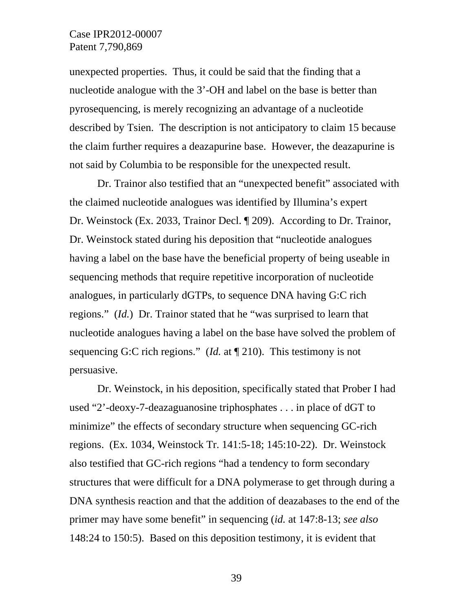unexpected properties. Thus, it could be said that the finding that a nucleotide analogue with the 3'-OH and label on the base is better than pyrosequencing, is merely recognizing an advantage of a nucleotide described by Tsien. The description is not anticipatory to claim 15 because the claim further requires a deazapurine base. However, the deazapurine is not said by Columbia to be responsible for the unexpected result.

Dr. Trainor also testified that an "unexpected benefit" associated with the claimed nucleotide analogues was identified by Illumina's expert Dr. Weinstock (Ex. 2033, Trainor Decl. ¶ 209). According to Dr. Trainor, Dr. Weinstock stated during his deposition that "nucleotide analogues having a label on the base have the beneficial property of being useable in sequencing methods that require repetitive incorporation of nucleotide analogues, in particularly dGTPs, to sequence DNA having G:C rich regions." (*Id.*) Dr. Trainor stated that he "was surprised to learn that nucleotide analogues having a label on the base have solved the problem of sequencing G:C rich regions." (*Id.* at ¶ 210). This testimony is not persuasive.

Dr. Weinstock, in his deposition, specifically stated that Prober I had used "2'-deoxy-7-deazaguanosine triphosphates . . . in place of dGT to minimize" the effects of secondary structure when sequencing GC-rich regions. (Ex. 1034, Weinstock Tr. 141:5-18; 145:10-22). Dr. Weinstock also testified that GC-rich regions "had a tendency to form secondary structures that were difficult for a DNA polymerase to get through during a DNA synthesis reaction and that the addition of deazabases to the end of the primer may have some benefit" in sequencing (*id.* at 147:8-13; *see also* 148:24 to 150:5). Based on this deposition testimony, it is evident that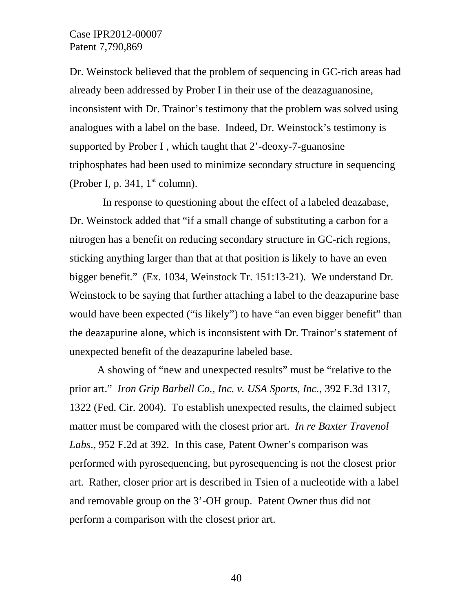Dr. Weinstock believed that the problem of sequencing in GC-rich areas had already been addressed by Prober I in their use of the deazaguanosine, inconsistent with Dr. Trainor's testimony that the problem was solved using analogues with a label on the base. Indeed, Dr. Weinstock's testimony is supported by Prober I , which taught that 2'-deoxy-7-guanosine triphosphates had been used to minimize secondary structure in sequencing (Prober I, p. 341,  $1^{\text{st}}$  column).

 In response to questioning about the effect of a labeled deazabase, Dr. Weinstock added that "if a small change of substituting a carbon for a nitrogen has a benefit on reducing secondary structure in GC-rich regions, sticking anything larger than that at that position is likely to have an even bigger benefit." (Ex. 1034, Weinstock Tr. 151:13-21). We understand Dr. Weinstock to be saying that further attaching a label to the deazapurine base would have been expected ("is likely") to have "an even bigger benefit" than the deazapurine alone, which is inconsistent with Dr. Trainor's statement of unexpected benefit of the deazapurine labeled base.

A showing of "new and unexpected results" must be "relative to the prior art." *Iron Grip Barbell Co., Inc. v. USA Sports, Inc.*, 392 F.3d 1317, 1322 (Fed. Cir. 2004). To establish unexpected results, the claimed subject matter must be compared with the closest prior art. *In re Baxter Travenol Labs*., 952 F.2d at 392. In this case, Patent Owner's comparison was performed with pyrosequencing, but pyrosequencing is not the closest prior art. Rather, closer prior art is described in Tsien of a nucleotide with a label and removable group on the 3'-OH group. Patent Owner thus did not perform a comparison with the closest prior art.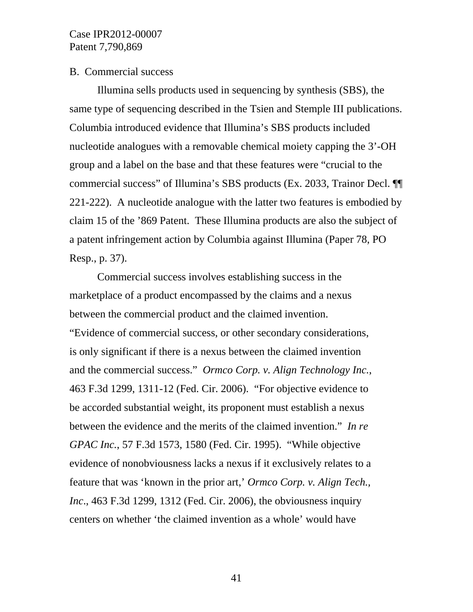#### B. Commercial success

 Illumina sells products used in sequencing by synthesis (SBS), the same type of sequencing described in the Tsien and Stemple III publications. Columbia introduced evidence that Illumina's SBS products included nucleotide analogues with a removable chemical moiety capping the 3'-OH group and a label on the base and that these features were "crucial to the commercial success" of Illumina's SBS products (Ex. 2033, Trainor Decl. ¶¶ 221-222). A nucleotide analogue with the latter two features is embodied by claim 15 of the '869 Patent. These Illumina products are also the subject of a patent infringement action by Columbia against Illumina (Paper 78, PO Resp., p. 37).

Commercial success involves establishing success in the marketplace of a product encompassed by the claims and a nexus between the commercial product and the claimed invention. "Evidence of commercial success, or other secondary considerations, is only significant if there is a nexus between the claimed invention and the commercial success." *Ormco Corp. v. Align Technology Inc.*, 463 F.3d 1299, 1311-12 (Fed. Cir. 2006). "For objective evidence to be accorded substantial weight, its proponent must establish a nexus between the evidence and the merits of the claimed invention." *In re GPAC Inc.*, 57 F.3d 1573, 1580 (Fed. Cir. 1995). "While objective evidence of nonobviousness lacks a nexus if it exclusively relates to a feature that was 'known in the prior art,' *Ormco Corp. v. Align Tech., Inc*., 463 F.3d 1299, 1312 (Fed. Cir. 2006), the obviousness inquiry centers on whether 'the claimed invention as a whole' would have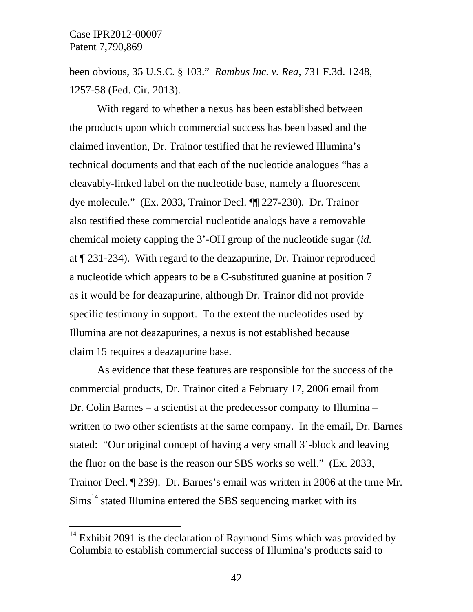-

been obvious, 35 U.S.C. § 103." *Rambus Inc. v. Rea*, 731 F.3d. 1248, 1257-58 (Fed. Cir. 2013).

With regard to whether a nexus has been established between the products upon which commercial success has been based and the claimed invention, Dr. Trainor testified that he reviewed Illumina's technical documents and that each of the nucleotide analogues "has a cleavably-linked label on the nucleotide base, namely a fluorescent dye molecule." (Ex. 2033, Trainor Decl. ¶¶ 227-230). Dr. Trainor also testified these commercial nucleotide analogs have a removable chemical moiety capping the 3'-OH group of the nucleotide sugar (*id.* at ¶ 231-234). With regard to the deazapurine, Dr. Trainor reproduced a nucleotide which appears to be a C-substituted guanine at position 7 as it would be for deazapurine, although Dr. Trainor did not provide specific testimony in support. To the extent the nucleotides used by Illumina are not deazapurines, a nexus is not established because claim 15 requires a deazapurine base.

As evidence that these features are responsible for the success of the commercial products, Dr. Trainor cited a February 17, 2006 email from Dr. Colin Barnes – a scientist at the predecessor company to Illumina – written to two other scientists at the same company. In the email, Dr. Barnes stated: "Our original concept of having a very small 3'-block and leaving the fluor on the base is the reason our SBS works so well." (Ex. 2033, Trainor Decl. ¶ 239). Dr. Barnes's email was written in 2006 at the time Mr.  $\text{Sims}^{14}$  stated Illumina entered the SBS sequencing market with its

<sup>&</sup>lt;sup>14</sup> Exhibit 2091 is the declaration of Raymond Sims which was provided by Columbia to establish commercial success of Illumina's products said to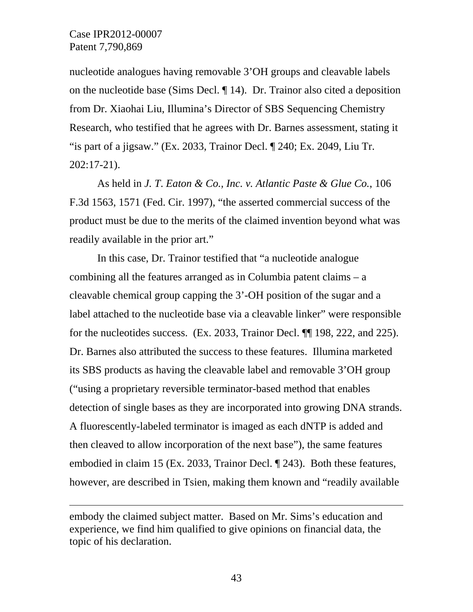$\overline{a}$ 

nucleotide analogues having removable 3'OH groups and cleavable labels on the nucleotide base (Sims Decl. ¶ 14). Dr. Trainor also cited a deposition from Dr. Xiaohai Liu, Illumina's Director of SBS Sequencing Chemistry Research, who testified that he agrees with Dr. Barnes assessment, stating it "is part of a jigsaw." (Ex. 2033, Trainor Decl. ¶ 240; Ex. 2049, Liu Tr. 202:17-21).

As held in *J. T*. *Eaton & Co., Inc. v. Atlantic Paste & Glue Co.*, 106 F.3d 1563, 1571 (Fed. Cir. 1997), "the asserted commercial success of the product must be due to the merits of the claimed invention beyond what was readily available in the prior art."

In this case, Dr. Trainor testified that "a nucleotide analogue combining all the features arranged as in Columbia patent claims – a cleavable chemical group capping the 3'-OH position of the sugar and a label attached to the nucleotide base via a cleavable linker" were responsible for the nucleotides success. (Ex. 2033, Trainor Decl. ¶¶ 198, 222, and 225). Dr. Barnes also attributed the success to these features. Illumina marketed its SBS products as having the cleavable label and removable 3'OH group ("using a proprietary reversible terminator-based method that enables detection of single bases as they are incorporated into growing DNA strands. A fluorescently-labeled terminator is imaged as each dNTP is added and then cleaved to allow incorporation of the next base"), the same features embodied in claim 15 (Ex. 2033, Trainor Decl. ¶ 243). Both these features, however, are described in Tsien, making them known and "readily available

embody the claimed subject matter. Based on Mr. Sims's education and experience, we find him qualified to give opinions on financial data, the topic of his declaration.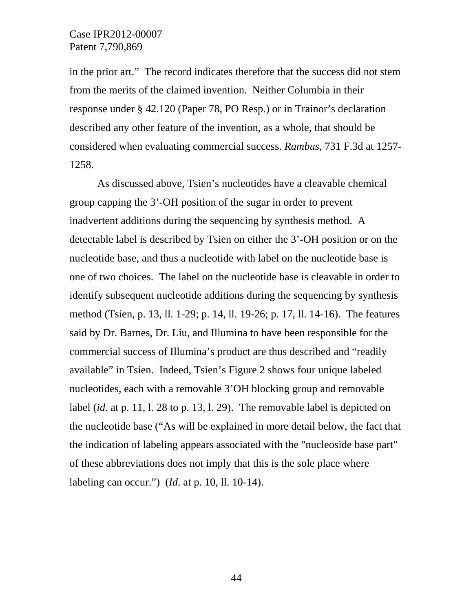in the prior art." The record indicates therefore that the success did not stem from the merits of the claimed invention. Neither Columbia in their response under § 42.120 (Paper 78, PO Resp.) or in Trainor's declaration described any other feature of the invention, as a whole, that should be considered when evaluating commercial success. *Rambus*, 731 F.3d at 1257- 1258.

As discussed above, Tsien's nucleotides have a cleavable chemical group capping the 3'-OH position of the sugar in order to prevent inadvertent additions during the sequencing by synthesis method. A detectable label is described by Tsien on either the 3'-OH position or on the nucleotide base, and thus a nucleotide with label on the nucleotide base is one of two choices. The label on the nucleotide base is cleavable in order to identify subsequent nucleotide additions during the sequencing by synthesis method (Tsien, p. 13, ll. 1-29; p. 14, ll. 19-26; p. 17, ll. 14-16). The features said by Dr. Barnes, Dr. Liu, and Illumina to have been responsible for the commercial success of Illumina's product are thus described and "readily available" in Tsien. Indeed, Tsien's Figure 2 shows four unique labeled nucleotides, each with a removable 3'OH blocking group and removable label (*id.* at p. 11, l. 28 to p. 13, l. 29). The removable label is depicted on the nucleotide base ("As will be explained in more detail below, the fact that the indication of labeling appears associated with the "nucleoside base part" of these abbreviations does not imply that this is the sole place where labeling can occur.") (*Id*. at p. 10, ll. 10-14).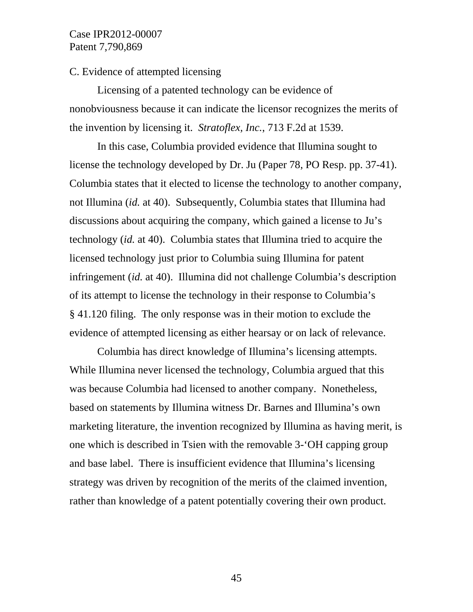### C. Evidence of attempted licensing

 Licensing of a patented technology can be evidence of nonobviousness because it can indicate the licensor recognizes the merits of the invention by licensing it. *Stratoflex, Inc.*, 713 F.2d at 1539.

In this case, Columbia provided evidence that Illumina sought to license the technology developed by Dr. Ju (Paper 78, PO Resp. pp. 37-41). Columbia states that it elected to license the technology to another company, not Illumina (*id.* at 40). Subsequently, Columbia states that Illumina had discussions about acquiring the company, which gained a license to Ju's technology (*id.* at 40). Columbia states that Illumina tried to acquire the licensed technology just prior to Columbia suing Illumina for patent infringement (*id.* at 40). Illumina did not challenge Columbia's description of its attempt to license the technology in their response to Columbia's § 41.120 filing. The only response was in their motion to exclude the evidence of attempted licensing as either hearsay or on lack of relevance.

 Columbia has direct knowledge of Illumina's licensing attempts. While Illumina never licensed the technology, Columbia argued that this was because Columbia had licensed to another company. Nonetheless, based on statements by Illumina witness Dr. Barnes and Illumina's own marketing literature, the invention recognized by Illumina as having merit, is one which is described in Tsien with the removable 3-'OH capping group and base label. There is insufficient evidence that Illumina's licensing strategy was driven by recognition of the merits of the claimed invention, rather than knowledge of a patent potentially covering their own product.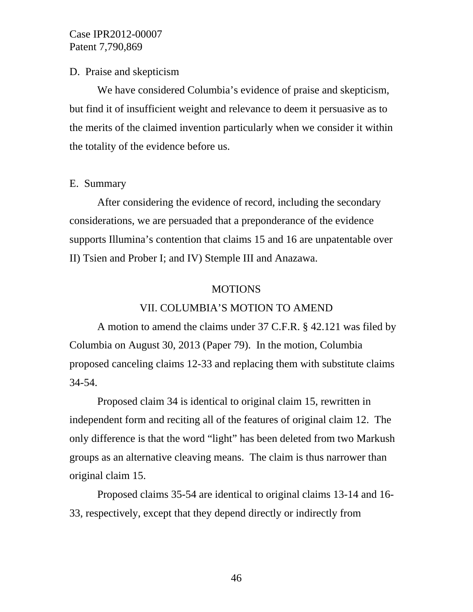#### D. Praise and skepticism

 We have considered Columbia's evidence of praise and skepticism, but find it of insufficient weight and relevance to deem it persuasive as to the merits of the claimed invention particularly when we consider it within the totality of the evidence before us.

### E. Summary

 After considering the evidence of record, including the secondary considerations, we are persuaded that a preponderance of the evidence supports Illumina's contention that claims 15 and 16 are unpatentable over II) Tsien and Prober I; and IV) Stemple III and Anazawa.

#### MOTIONS

### VII. COLUMBIA'S MOTION TO AMEND

 A motion to amend the claims under 37 C.F.R. § 42.121 was filed by Columbia on August 30, 2013 (Paper 79). In the motion, Columbia proposed canceling claims 12-33 and replacing them with substitute claims 34-54.

 Proposed claim 34 is identical to original claim 15, rewritten in independent form and reciting all of the features of original claim 12. The only difference is that the word "light" has been deleted from two Markush groups as an alternative cleaving means. The claim is thus narrower than original claim 15.

Proposed claims 35-54 are identical to original claims 13-14 and 16- 33, respectively, except that they depend directly or indirectly from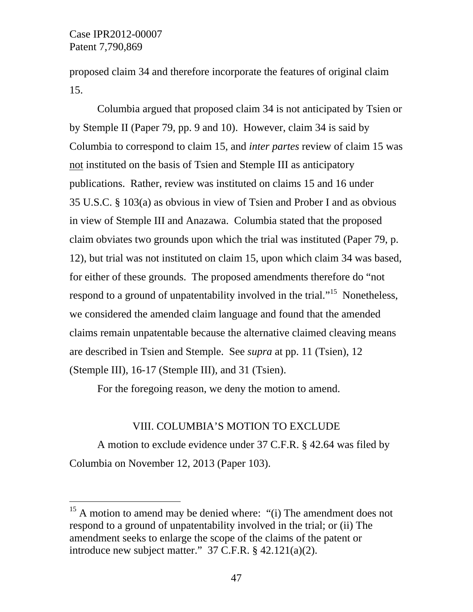$\overline{a}$ 

proposed claim 34 and therefore incorporate the features of original claim 15.

Columbia argued that proposed claim 34 is not anticipated by Tsien or by Stemple II (Paper 79, pp. 9 and 10). However, claim 34 is said by Columbia to correspond to claim 15, and *inter partes* review of claim 15 was not instituted on the basis of Tsien and Stemple III as anticipatory publications. Rather, review was instituted on claims 15 and 16 under 35 U.S.C. § 103(a) as obvious in view of Tsien and Prober I and as obvious in view of Stemple III and Anazawa. Columbia stated that the proposed claim obviates two grounds upon which the trial was instituted (Paper 79, p. 12), but trial was not instituted on claim 15, upon which claim 34 was based, for either of these grounds. The proposed amendments therefore do "not respond to a ground of unpatentability involved in the trial."<sup>15</sup> Nonetheless, we considered the amended claim language and found that the amended claims remain unpatentable because the alternative claimed cleaving means are described in Tsien and Stemple. See *supra* at pp. 11 (Tsien), 12 (Stemple III), 16-17 (Stemple III), and 31 (Tsien).

For the foregoing reason, we deny the motion to amend.

# VIII. COLUMBIA'S MOTION TO EXCLUDE

 A motion to exclude evidence under 37 C.F.R. § 42.64 was filed by Columbia on November 12, 2013 (Paper 103).

 $15$  A motion to amend may be denied where: "(i) The amendment does not respond to a ground of unpatentability involved in the trial; or (ii) The amendment seeks to enlarge the scope of the claims of the patent or introduce new subject matter." 37 C.F.R. § 42.121(a)(2).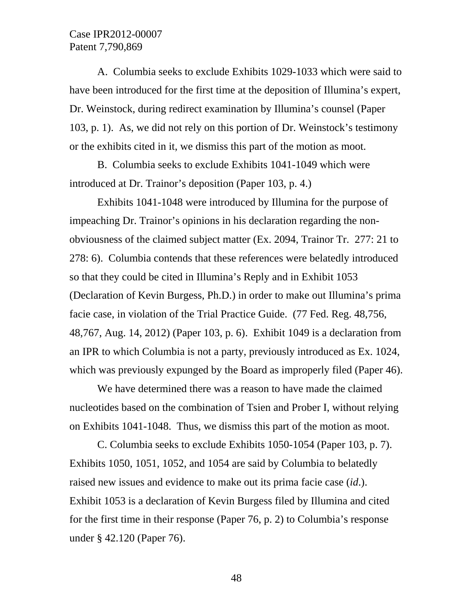A. Columbia seeks to exclude Exhibits 1029-1033 which were said to have been introduced for the first time at the deposition of Illumina's expert, Dr. Weinstock, during redirect examination by Illumina's counsel (Paper 103, p. 1). As, we did not rely on this portion of Dr. Weinstock's testimony or the exhibits cited in it, we dismiss this part of the motion as moot.

 B. Columbia seeks to exclude Exhibits 1041-1049 which were introduced at Dr. Trainor's deposition (Paper 103, p. 4.)

Exhibits 1041-1048 were introduced by Illumina for the purpose of impeaching Dr. Trainor's opinions in his declaration regarding the nonobviousness of the claimed subject matter (Ex. 2094, Trainor Tr. 277: 21 to 278: 6). Columbia contends that these references were belatedly introduced so that they could be cited in Illumina's Reply and in Exhibit 1053 (Declaration of Kevin Burgess, Ph.D.) in order to make out Illumina's prima facie case, in violation of the Trial Practice Guide. (77 Fed. Reg. 48,756, 48,767, Aug. 14, 2012) (Paper 103, p. 6). Exhibit 1049 is a declaration from an IPR to which Columbia is not a party, previously introduced as Ex. 1024, which was previously expunged by the Board as improperly filed (Paper 46).

We have determined there was a reason to have made the claimed nucleotides based on the combination of Tsien and Prober I, without relying on Exhibits 1041-1048. Thus, we dismiss this part of the motion as moot.

 C. Columbia seeks to exclude Exhibits 1050-1054 (Paper 103, p. 7). Exhibits 1050, 1051, 1052, and 1054 are said by Columbia to belatedly raised new issues and evidence to make out its prima facie case (*id*.). Exhibit 1053 is a declaration of Kevin Burgess filed by Illumina and cited for the first time in their response (Paper 76, p. 2) to Columbia's response under § 42.120 (Paper 76).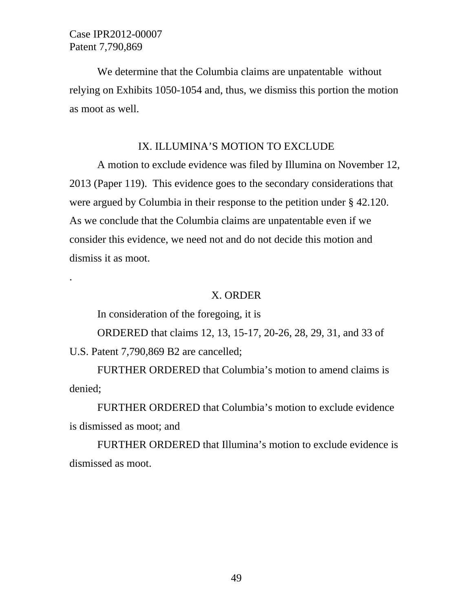.

We determine that the Columbia claims are unpatentable without relying on Exhibits 1050-1054 and, thus, we dismiss this portion the motion as moot as well.

### IX. ILLUMINA'S MOTION TO EXCLUDE

 A motion to exclude evidence was filed by Illumina on November 12, 2013 (Paper 119). This evidence goes to the secondary considerations that were argued by Columbia in their response to the petition under § 42.120. As we conclude that the Columbia claims are unpatentable even if we consider this evidence, we need not and do not decide this motion and dismiss it as moot.

### X. ORDER

In consideration of the foregoing, it is

 ORDERED that claims 12, 13, 15-17, 20-26, 28, 29, 31, and 33 of U.S. Patent 7,790,869 B2 are cancelled;

 FURTHER ORDERED that Columbia's motion to amend claims is denied;

FURTHER ORDERED that Columbia's motion to exclude evidence is dismissed as moot; and

FURTHER ORDERED that Illumina's motion to exclude evidence is dismissed as moot.